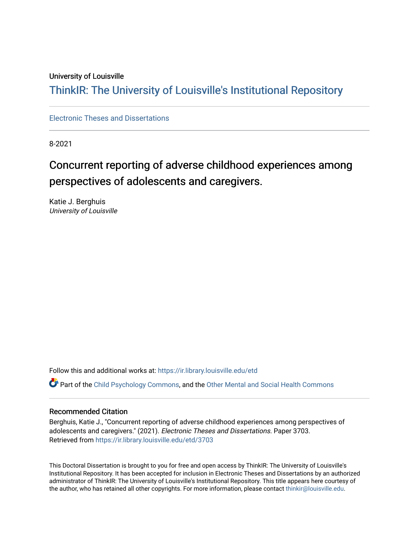#### University of Louisville

# ThinkIR: The Univ[ersity of Louisville's Institutional Reposit](https://ir.library.louisville.edu/)ory

[Electronic Theses and Dissertations](https://ir.library.louisville.edu/etd)

8-2021

# Concurrent reporting of adverse childhood experiences among perspectives of adolescents and caregivers.

Katie J. Berghuis University of Louisville

Follow this and additional works at: [https://ir.library.louisville.edu/etd](https://ir.library.louisville.edu/etd?utm_source=ir.library.louisville.edu%2Fetd%2F3703&utm_medium=PDF&utm_campaign=PDFCoverPages) 

Part of the [Child Psychology Commons,](https://network.bepress.com/hgg/discipline/1023?utm_source=ir.library.louisville.edu%2Fetd%2F3703&utm_medium=PDF&utm_campaign=PDFCoverPages) and the [Other Mental and Social Health Commons](https://network.bepress.com/hgg/discipline/717?utm_source=ir.library.louisville.edu%2Fetd%2F3703&utm_medium=PDF&utm_campaign=PDFCoverPages)

#### Recommended Citation

Berghuis, Katie J., "Concurrent reporting of adverse childhood experiences among perspectives of adolescents and caregivers." (2021). Electronic Theses and Dissertations. Paper 3703. Retrieved from [https://ir.library.louisville.edu/etd/3703](https://ir.library.louisville.edu/etd/3703?utm_source=ir.library.louisville.edu%2Fetd%2F3703&utm_medium=PDF&utm_campaign=PDFCoverPages) 

This Doctoral Dissertation is brought to you for free and open access by ThinkIR: The University of Louisville's Institutional Repository. It has been accepted for inclusion in Electronic Theses and Dissertations by an authorized administrator of ThinkIR: The University of Louisville's Institutional Repository. This title appears here courtesy of the author, who has retained all other copyrights. For more information, please contact [thinkir@louisville.edu.](mailto:thinkir@louisville.edu)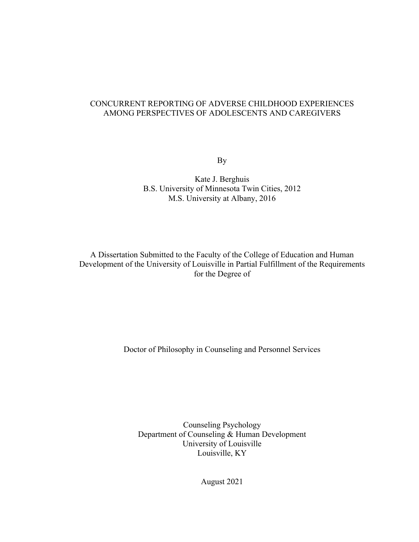# CONCURRENT REPORTING OF ADVERSE CHILDHOOD EXPERIENCES AMONG PERSPECTIVES OF ADOLESCENTS AND CAREGIVERS

By

Kate J. Berghuis B.S. University of Minnesota Twin Cities, 2012 M.S. University at Albany, 2016

A Dissertation Submitted to the Faculty of the College of Education and Human Development of the University of Louisville in Partial Fulfillment of the Requirements for the Degree of

Doctor of Philosophy in Counseling and Personnel Services

Counseling Psychology Department of Counseling & Human Development University of Louisville Louisville, KY

August 2021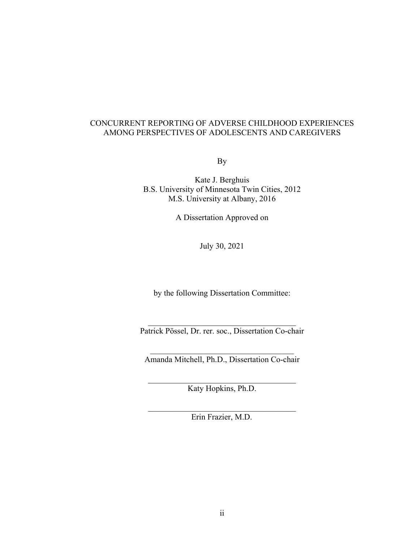### CONCURRENT REPORTING OF ADVERSE CHILDHOOD EXPERIENCES AMONG PERSPECTIVES OF ADOLESCENTS AND CAREGIVERS

By

Kate J. Berghuis B.S. University of Minnesota Twin Cities, 2012 M.S. University at Albany, 2016

A Dissertation Approved on

July 30, 2021

by the following Dissertation Committee:

Patrick Pössel, Dr. rer. soc., Dissertation Co-chair

Amanda Mitchell, Ph.D., Dissertation Co-chair

Katy Hopkins, Ph.D.

Erin Frazier, M.D.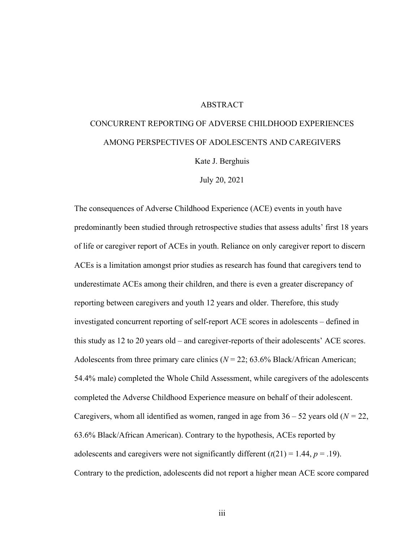#### ABSTRACT

# CONCURRENT REPORTING OF ADVERSE CHILDHOOD EXPERIENCES AMONG PERSPECTIVES OF ADOLESCENTS AND CAREGIVERS

Kate J. Berghuis

July 20, 2021

The consequences of Adverse Childhood Experience (ACE) events in youth have predominantly been studied through retrospective studies that assess adults' first 18 years of life or caregiver report of ACEs in youth. Reliance on only caregiver report to discern ACEs is a limitation amongst prior studies as research has found that caregivers tend to underestimate ACEs among their children, and there is even a greater discrepancy of reporting between caregivers and youth 12 years and older. Therefore, this study investigated concurrent reporting of self-report ACE scores in adolescents – defined in this study as 12 to 20 years old – and caregiver-reports of their adolescents' ACE scores. Adolescents from three primary care clinics  $(N = 22; 63.6\%$  Black/African American; 54.4% male) completed the Whole Child Assessment, while caregivers of the adolescents completed the Adverse Childhood Experience measure on behalf of their adolescent. Caregivers, whom all identified as women, ranged in age from  $36 - 52$  years old ( $N = 22$ , 63.6% Black/African American). Contrary to the hypothesis, ACEs reported by adolescents and caregivers were not significantly different  $(t(21) = 1.44, p = .19)$ . Contrary to the prediction, adolescents did not report a higher mean ACE score compared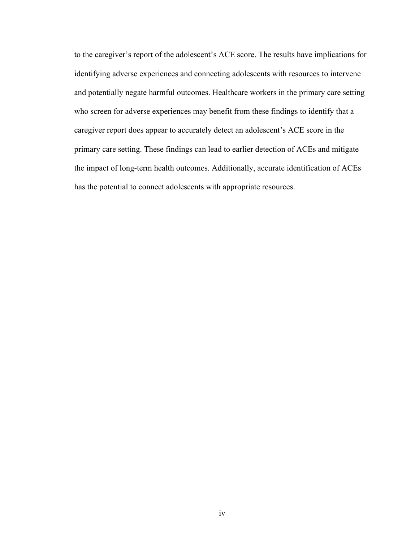to the caregiver's report of the adolescent's ACE score. The results have implications for identifying adverse experiences and connecting adolescents with resources to intervene and potentially negate harmful outcomes. Healthcare workers in the primary care setting who screen for adverse experiences may benefit from these findings to identify that a caregiver report does appear to accurately detect an adolescent's ACE score in the primary care setting. These findings can lead to earlier detection of ACEs and mitigate the impact of long-term health outcomes. Additionally, accurate identification of ACEs has the potential to connect adolescents with appropriate resources.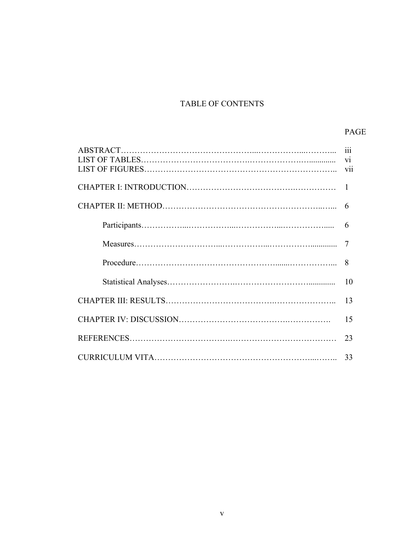# TABLE OF CONTENTS

# PAGE

|  | 111          |
|--|--------------|
|  |              |
|  | $\mathbf{1}$ |
|  |              |
|  | 6            |
|  | 7            |
|  | 8            |
|  | 10           |
|  | 13           |
|  | 15           |
|  | 23           |
|  |              |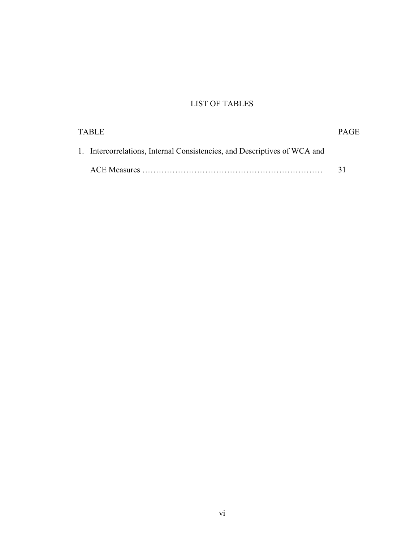# LIST OF TABLES

| TABLE |                                                                           | <b>PAGE</b> |
|-------|---------------------------------------------------------------------------|-------------|
|       | 1. Intercorrelations, Internal Consistencies, and Descriptives of WCA and |             |
|       |                                                                           | -31         |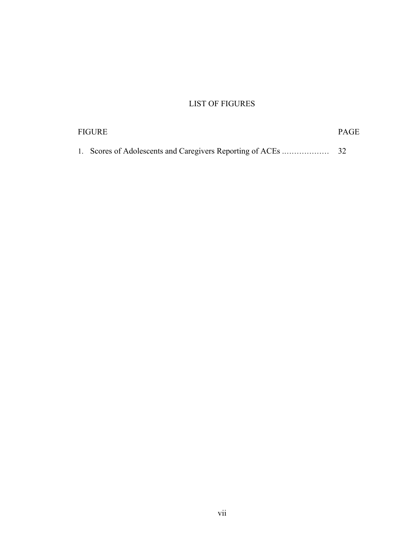# LIST OF FIGURES

| <b>FIGURE</b> |  |  |
|---------------|--|--|
|               |  |  |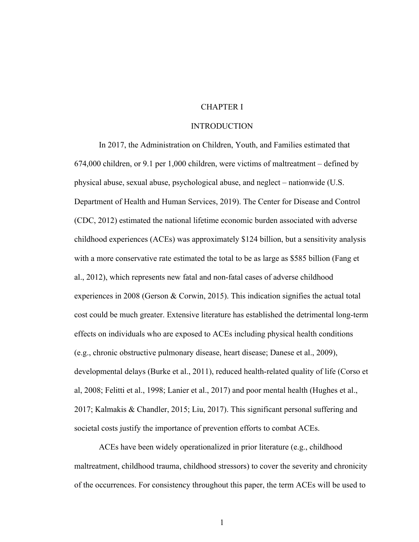#### CHAPTER I

#### INTRODUCTION

In 2017, the Administration on Children, Youth, and Families estimated that 674,000 children, or 9.1 per 1,000 children, were victims of maltreatment – defined by physical abuse, sexual abuse, psychological abuse, and neglect – nationwide (U.S. Department of Health and Human Services, 2019). The Center for Disease and Control (CDC, 2012) estimated the national lifetime economic burden associated with adverse childhood experiences (ACEs) was approximately \$124 billion, but a sensitivity analysis with a more conservative rate estimated the total to be as large as \$585 billion (Fang et al., 2012), which represents new fatal and non-fatal cases of adverse childhood experiences in 2008 (Gerson & Corwin, 2015). This indication signifies the actual total cost could be much greater. Extensive literature has established the detrimental long-term effects on individuals who are exposed to ACEs including physical health conditions (e.g., chronic obstructive pulmonary disease, heart disease; Danese et al., 2009), developmental delays (Burke et al., 2011), reduced health-related quality of life (Corso et al, 2008; Felitti et al., 1998; Lanier et al., 2017) and poor mental health (Hughes et al., 2017; Kalmakis & Chandler, 2015; Liu, 2017). This significant personal suffering and societal costs justify the importance of prevention efforts to combat ACEs.

ACEs have been widely operationalized in prior literature (e.g., childhood maltreatment, childhood trauma, childhood stressors) to cover the severity and chronicity of the occurrences. For consistency throughout this paper, the term ACEs will be used to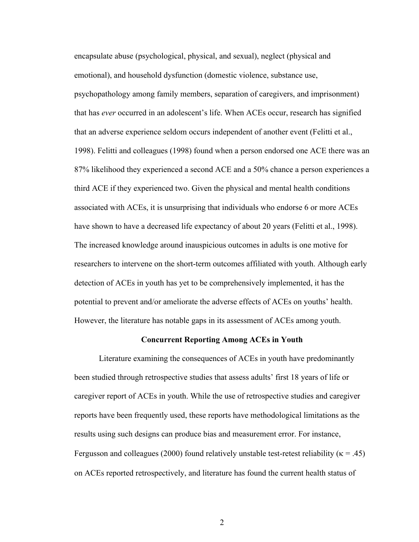encapsulate abuse (psychological, physical, and sexual), neglect (physical and emotional), and household dysfunction (domestic violence, substance use, psychopathology among family members, separation of caregivers, and imprisonment) that has *ever* occurred in an adolescent's life. When ACEs occur, research has signified that an adverse experience seldom occurs independent of another event (Felitti et al., 1998). Felitti and colleagues (1998) found when a person endorsed one ACE there was an 87% likelihood they experienced a second ACE and a 50% chance a person experiences a third ACE if they experienced two. Given the physical and mental health conditions associated with ACEs, it is unsurprising that individuals who endorse 6 or more ACEs have shown to have a decreased life expectancy of about 20 years (Felitti et al., 1998). The increased knowledge around inauspicious outcomes in adults is one motive for researchers to intervene on the short-term outcomes affiliated with youth. Although early detection of ACEs in youth has yet to be comprehensively implemented, it has the potential to prevent and/or ameliorate the adverse effects of ACEs on youths' health. However, the literature has notable gaps in its assessment of ACEs among youth.

#### **Concurrent Reporting Among ACEs in Youth**

Literature examining the consequences of ACEs in youth have predominantly been studied through retrospective studies that assess adults' first 18 years of life or caregiver report of ACEs in youth. While the use of retrospective studies and caregiver reports have been frequently used, these reports have methodological limitations as the results using such designs can produce bias and measurement error. For instance, Fergusson and colleagues (2000) found relatively unstable test-retest reliability ( $\kappa = .45$ ) on ACEs reported retrospectively, and literature has found the current health status of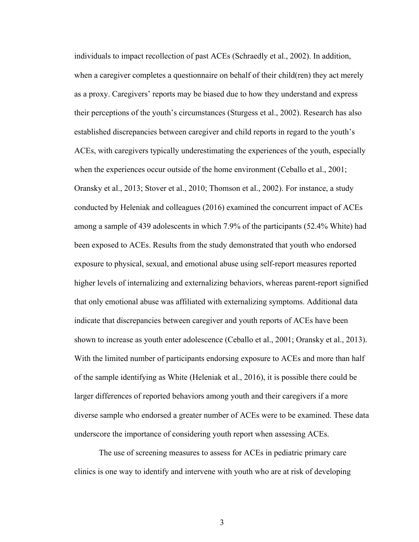individuals to impact recollection of past ACEs (Schraedly et al., 2002). In addition, when a caregiver completes a questionnaire on behalf of their child(ren) they act merely as a proxy. Caregivers' reports may be biased due to how they understand and express their perceptions of the youth's circumstances (Sturgess et al., 2002). Research has also established discrepancies between caregiver and child reports in regard to the youth's ACEs, with caregivers typically underestimating the experiences of the youth, especially when the experiences occur outside of the home environment (Ceballo et al., 2001; Oransky et al., 2013; Stover et al., 2010; Thomson et al., 2002). For instance, a study conducted by Heleniak and colleagues (2016) examined the concurrent impact of ACEs among a sample of 439 adolescents in which 7.9% of the participants (52.4% White) had been exposed to ACEs. Results from the study demonstrated that youth who endorsed exposure to physical, sexual, and emotional abuse using self-report measures reported higher levels of internalizing and externalizing behaviors, whereas parent-report signified that only emotional abuse was affiliated with externalizing symptoms. Additional data indicate that discrepancies between caregiver and youth reports of ACEs have been shown to increase as youth enter adolescence (Ceballo et al., 2001; Oransky et al., 2013). With the limited number of participants endorsing exposure to ACEs and more than half of the sample identifying as White (Heleniak et al., 2016), it is possible there could be larger differences of reported behaviors among youth and their caregivers if a more diverse sample who endorsed a greater number of ACEs were to be examined. These data underscore the importance of considering youth report when assessing ACEs.

The use of screening measures to assess for ACEs in pediatric primary care clinics is one way to identify and intervene with youth who are at risk of developing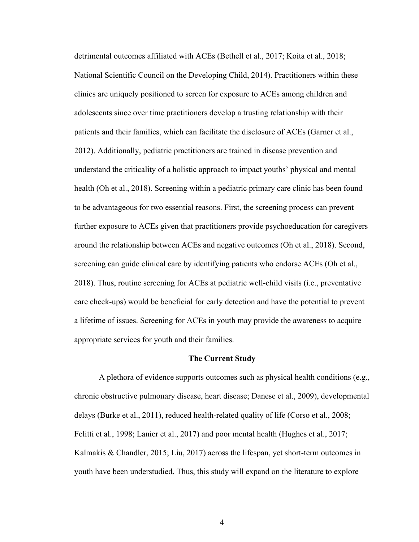detrimental outcomes affiliated with ACEs (Bethell et al., 2017; Koita et al., 2018; National Scientific Council on the Developing Child, 2014). Practitioners within these clinics are uniquely positioned to screen for exposure to ACEs among children and adolescents since over time practitioners develop a trusting relationship with their patients and their families, which can facilitate the disclosure of ACEs (Garner et al., 2012). Additionally, pediatric practitioners are trained in disease prevention and understand the criticality of a holistic approach to impact youths' physical and mental health (Oh et al., 2018). Screening within a pediatric primary care clinic has been found to be advantageous for two essential reasons. First, the screening process can prevent further exposure to ACEs given that practitioners provide psychoeducation for caregivers around the relationship between ACEs and negative outcomes (Oh et al., 2018). Second, screening can guide clinical care by identifying patients who endorse ACEs (Oh et al., 2018). Thus, routine screening for ACEs at pediatric well-child visits (i.e., preventative care check-ups) would be beneficial for early detection and have the potential to prevent a lifetime of issues. Screening for ACEs in youth may provide the awareness to acquire appropriate services for youth and their families.

#### **The Current Study**

A plethora of evidence supports outcomes such as physical health conditions (e.g., chronic obstructive pulmonary disease, heart disease; Danese et al., 2009), developmental delays (Burke et al., 2011), reduced health-related quality of life (Corso et al., 2008; Felitti et al., 1998; Lanier et al., 2017) and poor mental health (Hughes et al., 2017; Kalmakis & Chandler, 2015; Liu, 2017) across the lifespan, yet short-term outcomes in youth have been understudied. Thus, this study will expand on the literature to explore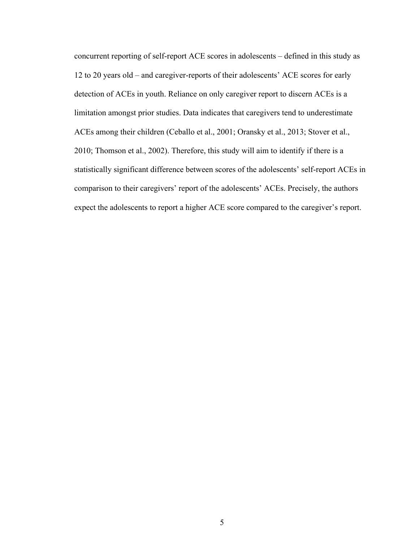concurrent reporting of self-report ACE scores in adolescents – defined in this study as 12 to 20 years old – and caregiver-reports of their adolescents' ACE scores for early detection of ACEs in youth. Reliance on only caregiver report to discern ACEs is a limitation amongst prior studies. Data indicates that caregivers tend to underestimate ACEs among their children (Ceballo et al., 2001; Oransky et al., 2013; Stover et al., 2010; Thomson et al., 2002). Therefore, this study will aim to identify if there is a statistically significant difference between scores of the adolescents' self-report ACEs in comparison to their caregivers' report of the adolescents' ACEs. Precisely, the authors expect the adolescents to report a higher ACE score compared to the caregiver's report.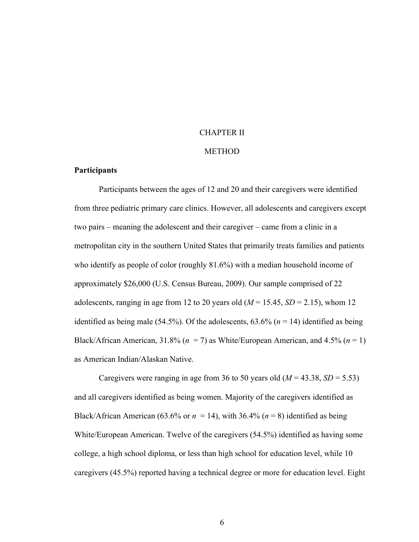# CHAPTER II

#### **METHOD**

#### **Participants**

Participants between the ages of 12 and 20 and their caregivers were identified from three pediatric primary care clinics. However, all adolescents and caregivers except two pairs – meaning the adolescent and their caregiver – came from a clinic in a metropolitan city in the southern United States that primarily treats families and patients who identify as people of color (roughly 81.6%) with a median household income of approximately \$26,000 (U.S. Census Bureau, 2009). Our sample comprised of 22 adolescents, ranging in age from 12 to 20 years old  $(M = 15.45, SD = 2.15)$ , whom 12 identified as being male (54.5%). Of the adolescents,  $63.6\%$  ( $n = 14$ ) identified as being Black/African American, 31.8% ( $n = 7$ ) as White/European American, and 4.5% ( $n = 1$ ) as American Indian/Alaskan Native.

Caregivers were ranging in age from 36 to 50 years old  $(M = 43.38, SD = 5.53)$ and all caregivers identified as being women. Majority of the caregivers identified as Black/African American (63.6% or  $n = 14$ ), with 36.4% ( $n = 8$ ) identified as being White/European American. Twelve of the caregivers (54.5%) identified as having some college, a high school diploma, or less than high school for education level, while 10 caregivers (45.5%) reported having a technical degree or more for education level. Eight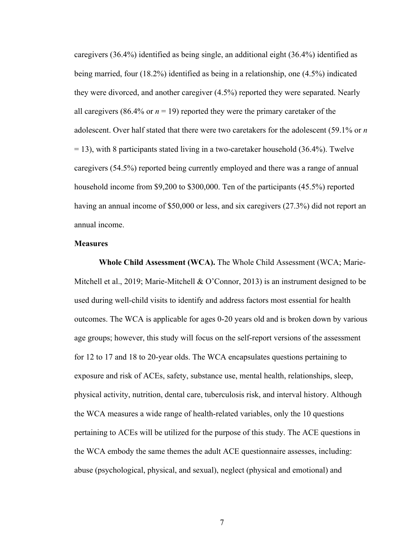caregivers (36.4%) identified as being single, an additional eight (36.4%) identified as being married, four (18.2%) identified as being in a relationship, one (4.5%) indicated they were divorced, and another caregiver (4.5%) reported they were separated. Nearly all caregivers (86.4% or  $n = 19$ ) reported they were the primary caretaker of the adolescent. Over half stated that there were two caretakers for the adolescent (59.1% or *n*   $= 13$ ), with 8 participants stated living in a two-caretaker household (36.4%). Twelve caregivers (54.5%) reported being currently employed and there was a range of annual household income from \$9,200 to \$300,000. Ten of the participants (45.5%) reported having an annual income of \$50,000 or less, and six caregivers (27.3%) did not report an annual income.

#### **Measures**

**Whole Child Assessment (WCA).** The Whole Child Assessment (WCA; Marie-Mitchell et al., 2019; Marie-Mitchell & O'Connor, 2013) is an instrument designed to be used during well-child visits to identify and address factors most essential for health outcomes. The WCA is applicable for ages 0-20 years old and is broken down by various age groups; however, this study will focus on the self-report versions of the assessment for 12 to 17 and 18 to 20-year olds. The WCA encapsulates questions pertaining to exposure and risk of ACEs, safety, substance use, mental health, relationships, sleep, physical activity, nutrition, dental care, tuberculosis risk, and interval history. Although the WCA measures a wide range of health-related variables, only the 10 questions pertaining to ACEs will be utilized for the purpose of this study. The ACE questions in the WCA embody the same themes the adult ACE questionnaire assesses, including: abuse (psychological, physical, and sexual), neglect (physical and emotional) and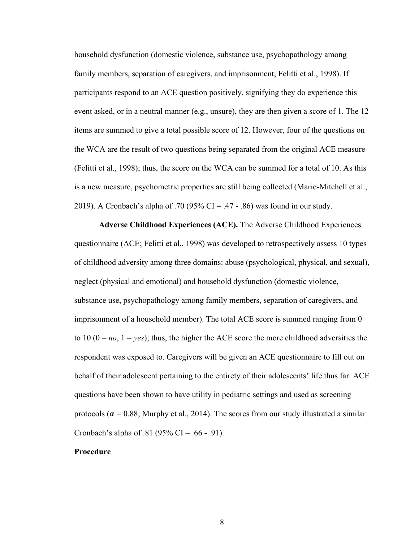household dysfunction (domestic violence, substance use, psychopathology among family members, separation of caregivers, and imprisonment; Felitti et al., 1998). If participants respond to an ACE question positively, signifying they do experience this event asked, or in a neutral manner (e.g., unsure), they are then given a score of 1. The 12 items are summed to give a total possible score of 12. However, four of the questions on the WCA are the result of two questions being separated from the original ACE measure (Felitti et al., 1998); thus, the score on the WCA can be summed for a total of 10. As this is a new measure, psychometric properties are still being collected (Marie-Mitchell et al., 2019). A Cronbach's alpha of .70 (95% CI = .47 - .86) was found in our study.

**Adverse Childhood Experiences (ACE).** The Adverse Childhood Experiences questionnaire (ACE; Felitti et al., 1998) was developed to retrospectively assess 10 types of childhood adversity among three domains: abuse (psychological, physical, and sexual), neglect (physical and emotional) and household dysfunction (domestic violence, substance use, psychopathology among family members, separation of caregivers, and imprisonment of a household member). The total ACE score is summed ranging from 0 to 10 ( $0 = no$ ,  $1 = yes$ ); thus, the higher the ACE score the more childhood adversities the respondent was exposed to. Caregivers will be given an ACE questionnaire to fill out on behalf of their adolescent pertaining to the entirety of their adolescents' life thus far. ACE questions have been shown to have utility in pediatric settings and used as screening protocols ( $\alpha$  = 0.88; Murphy et al., 2014). The scores from our study illustrated a similar Cronbach's alpha of .81 (95% CI = .66 - .91).

#### **Procedure**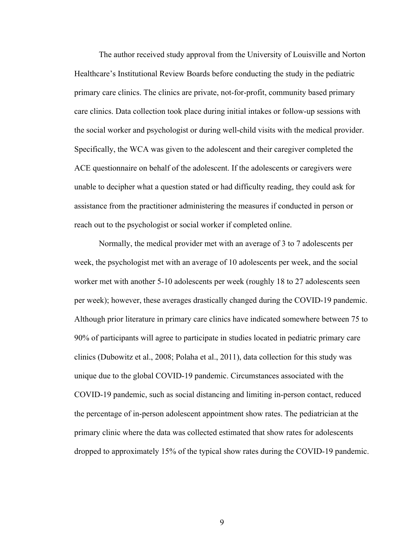The author received study approval from the University of Louisville and Norton Healthcare's Institutional Review Boards before conducting the study in the pediatric primary care clinics. The clinics are private, not-for-profit, community based primary care clinics. Data collection took place during initial intakes or follow-up sessions with the social worker and psychologist or during well-child visits with the medical provider. Specifically, the WCA was given to the adolescent and their caregiver completed the ACE questionnaire on behalf of the adolescent. If the adolescents or caregivers were unable to decipher what a question stated or had difficulty reading, they could ask for assistance from the practitioner administering the measures if conducted in person or reach out to the psychologist or social worker if completed online.

Normally, the medical provider met with an average of 3 to 7 adolescents per week, the psychologist met with an average of 10 adolescents per week, and the social worker met with another 5-10 adolescents per week (roughly 18 to 27 adolescents seen per week); however, these averages drastically changed during the COVID-19 pandemic. Although prior literature in primary care clinics have indicated somewhere between 75 to 90% of participants will agree to participate in studies located in pediatric primary care clinics (Dubowitz et al., 2008; Polaha et al., 2011), data collection for this study was unique due to the global COVID-19 pandemic. Circumstances associated with the COVID-19 pandemic, such as social distancing and limiting in-person contact, reduced the percentage of in-person adolescent appointment show rates. The pediatrician at the primary clinic where the data was collected estimated that show rates for adolescents dropped to approximately 15% of the typical show rates during the COVID-19 pandemic.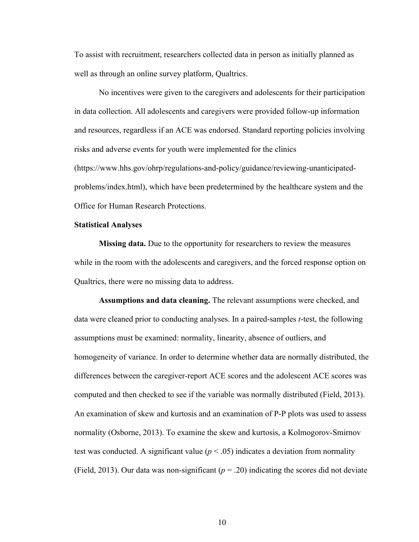To assist with recruitment, researchers collected data in person as initially planned as well as through an online survey platform, Qualtrics.

No incentives were given to the caregivers and adolescents for their participation in data collection. All adolescents and caregivers were provided follow-up information and resources, regardless if an ACE was endorsed. Standard reporting policies involving risks and adverse events for youth were implemented for the clinics (https://www.hhs.gov/ohrp/regulations-and-policy/guidance/reviewing-unanticipatedproblems/index.html), which have been predetermined by the healthcare system and the Office for Human Research Protections.

#### **Statistical Analyses**

**Missing data.** Due to the opportunity for researchers to review the measures while in the room with the adolescents and caregivers, and the forced response option on Qualtrics, there were no missing data to address.

**Assumptions and data cleaning.** The relevant assumptions were checked, and data were cleaned prior to conducting analyses. In a paired-samples *t*-test, the following assumptions must be examined: normality, linearity, absence of outliers, and homogeneity of variance. In order to determine whether data are normally distributed, the differences between the caregiver-report ACE scores and the adolescent ACE scores was computed and then checked to see if the variable was normally distributed (Field, 2013). An examination of skew and kurtosis and an examination of P-P plots was used to assess normality (Osborne, 2013). To examine the skew and kurtosis, a Kolmogorov-Smirnov test was conducted. A significant value  $(p < .05)$  indicates a deviation from normality (Field, 2013). Our data was non-significant  $(p = .20)$  indicating the scores did not deviate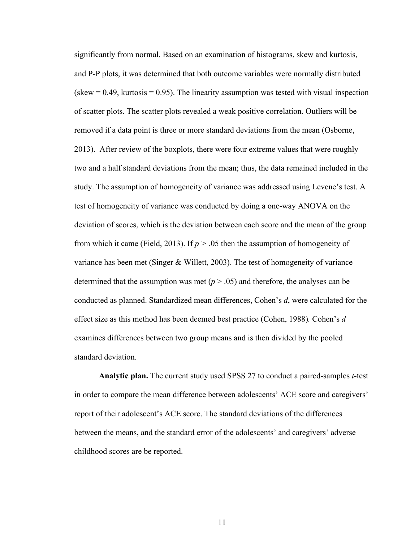significantly from normal. Based on an examination of histograms, skew and kurtosis, and P-P plots, it was determined that both outcome variables were normally distributed  $(s_{\text{k}} = 0.49, \text{ kurtosis} = 0.95)$ . The linearity assumption was tested with visual inspection of scatter plots. The scatter plots revealed a weak positive correlation. Outliers will be removed if a data point is three or more standard deviations from the mean (Osborne, 2013). After review of the boxplots, there were four extreme values that were roughly two and a half standard deviations from the mean; thus, the data remained included in the study. The assumption of homogeneity of variance was addressed using Levene's test. A test of homogeneity of variance was conducted by doing a one-way ANOVA on the deviation of scores, which is the deviation between each score and the mean of the group from which it came (Field, 2013). If *p >* .05 then the assumption of homogeneity of variance has been met (Singer & Willett, 2003). The test of homogeneity of variance determined that the assumption was met  $(p > .05)$  and therefore, the analyses can be conducted as planned. Standardized mean differences, Cohen's *d*, were calculated for the effect size as this method has been deemed best practice (Cohen, 1988)*.* Cohen's *d* examines differences between two group means and is then divided by the pooled standard deviation.

**Analytic plan.** The current study used SPSS 27 to conduct a paired-samples *t*-test in order to compare the mean difference between adolescents' ACE score and caregivers' report of their adolescent's ACE score. The standard deviations of the differences between the means, and the standard error of the adolescents' and caregivers' adverse childhood scores are be reported.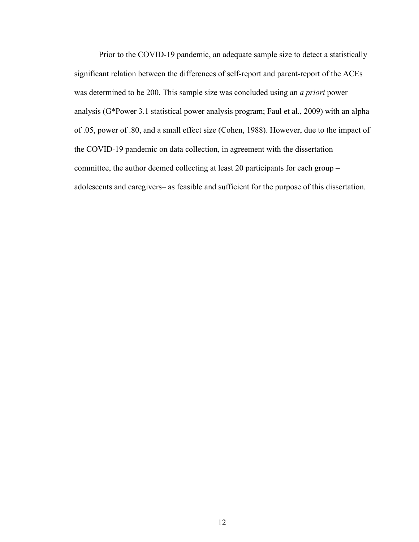Prior to the COVID-19 pandemic, an adequate sample size to detect a statistically significant relation between the differences of self-report and parent-report of the ACEs was determined to be 200. This sample size was concluded using an *a priori* power analysis (G\*Power 3.1 statistical power analysis program; Faul et al., 2009) with an alpha of .05, power of .80, and a small effect size (Cohen, 1988). However, due to the impact of the COVID-19 pandemic on data collection, in agreement with the dissertation committee, the author deemed collecting at least 20 participants for each group – adolescents and caregivers– as feasible and sufficient for the purpose of this dissertation.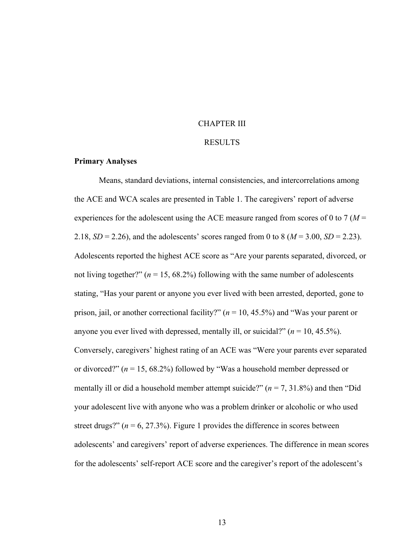#### CHAPTER III

#### RESULTS

#### **Primary Analyses**

Means, standard deviations, internal consistencies, and intercorrelations among the ACE and WCA scales are presented in Table 1. The caregivers' report of adverse experiences for the adolescent using the ACE measure ranged from scores of 0 to 7 (*M* = 2.18,  $SD = 2.26$ ), and the adolescents' scores ranged from 0 to 8 ( $M = 3.00$ ,  $SD = 2.23$ ). Adolescents reported the highest ACE score as "Are your parents separated, divorced, or not living together?"  $(n = 15, 68.2\%)$  following with the same number of adolescents stating, "Has your parent or anyone you ever lived with been arrested, deported, gone to prison, jail, or another correctional facility?" (*n* = 10, 45.5%) and "Was your parent or anyone you ever lived with depressed, mentally ill, or suicidal?"  $(n = 10, 45.5\%)$ . Conversely, caregivers' highest rating of an ACE was "Were your parents ever separated or divorced?" (*n* = 15, 68.2%) followed by "Was a household member depressed or mentally ill or did a household member attempt suicide?" (*n* = 7, 31.8%) and then "Did your adolescent live with anyone who was a problem drinker or alcoholic or who used street drugs?"  $(n = 6, 27.3\%)$ . Figure 1 provides the difference in scores between adolescents' and caregivers' report of adverse experiences. The difference in mean scores for the adolescents' self-report ACE score and the caregiver's report of the adolescent's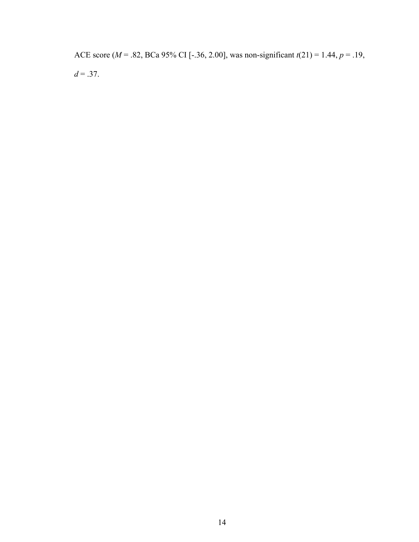ACE score (*M* = .82, BCa 95% CI [-.36, 2.00], was non-significant *t*(21) = 1.44, *p* = .19,  $d = .37$ .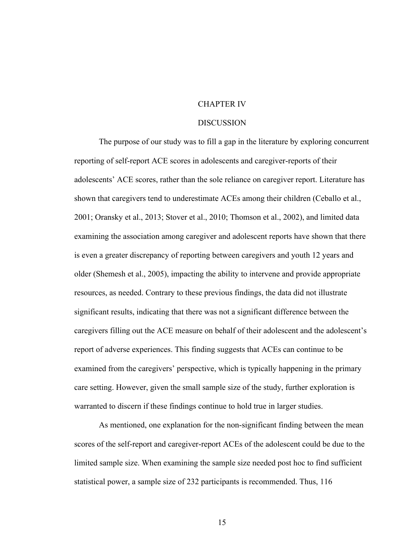#### CHAPTER IV

#### DISCUSSION

The purpose of our study was to fill a gap in the literature by exploring concurrent reporting of self-report ACE scores in adolescents and caregiver-reports of their adolescents' ACE scores, rather than the sole reliance on caregiver report. Literature has shown that caregivers tend to underestimate ACEs among their children (Ceballo et al., 2001; Oransky et al., 2013; Stover et al., 2010; Thomson et al., 2002), and limited data examining the association among caregiver and adolescent reports have shown that there is even a greater discrepancy of reporting between caregivers and youth 12 years and older (Shemesh et al., 2005), impacting the ability to intervene and provide appropriate resources, as needed. Contrary to these previous findings, the data did not illustrate significant results, indicating that there was not a significant difference between the caregivers filling out the ACE measure on behalf of their adolescent and the adolescent's report of adverse experiences. This finding suggests that ACEs can continue to be examined from the caregivers' perspective, which is typically happening in the primary care setting. However, given the small sample size of the study, further exploration is warranted to discern if these findings continue to hold true in larger studies.

As mentioned, one explanation for the non-significant finding between the mean scores of the self-report and caregiver-report ACEs of the adolescent could be due to the limited sample size. When examining the sample size needed post hoc to find sufficient statistical power, a sample size of 232 participants is recommended. Thus, 116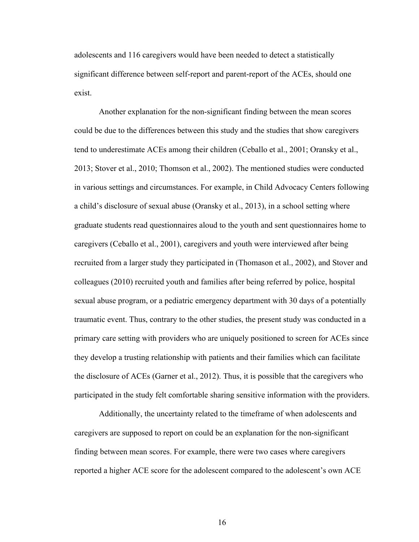adolescents and 116 caregivers would have been needed to detect a statistically significant difference between self-report and parent-report of the ACEs, should one exist.

Another explanation for the non-significant finding between the mean scores could be due to the differences between this study and the studies that show caregivers tend to underestimate ACEs among their children (Ceballo et al., 2001; Oransky et al., 2013; Stover et al., 2010; Thomson et al., 2002). The mentioned studies were conducted in various settings and circumstances. For example, in Child Advocacy Centers following a child's disclosure of sexual abuse (Oransky et al., 2013), in a school setting where graduate students read questionnaires aloud to the youth and sent questionnaires home to caregivers (Ceballo et al., 2001), caregivers and youth were interviewed after being recruited from a larger study they participated in (Thomason et al., 2002), and Stover and colleagues (2010) recruited youth and families after being referred by police, hospital sexual abuse program, or a pediatric emergency department with 30 days of a potentially traumatic event. Thus, contrary to the other studies, the present study was conducted in a primary care setting with providers who are uniquely positioned to screen for ACEs since they develop a trusting relationship with patients and their families which can facilitate the disclosure of ACEs (Garner et al., 2012). Thus, it is possible that the caregivers who participated in the study felt comfortable sharing sensitive information with the providers.

Additionally, the uncertainty related to the timeframe of when adolescents and caregivers are supposed to report on could be an explanation for the non-significant finding between mean scores. For example, there were two cases where caregivers reported a higher ACE score for the adolescent compared to the adolescent's own ACE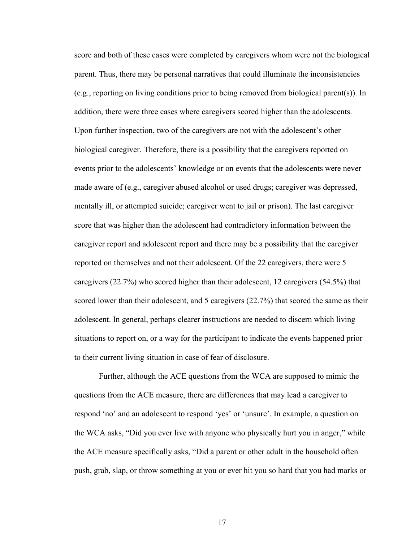score and both of these cases were completed by caregivers whom were not the biological parent. Thus, there may be personal narratives that could illuminate the inconsistencies (e.g., reporting on living conditions prior to being removed from biological parent(s)). In addition, there were three cases where caregivers scored higher than the adolescents. Upon further inspection, two of the caregivers are not with the adolescent's other biological caregiver. Therefore, there is a possibility that the caregivers reported on events prior to the adolescents' knowledge or on events that the adolescents were never made aware of (e.g., caregiver abused alcohol or used drugs; caregiver was depressed, mentally ill, or attempted suicide; caregiver went to jail or prison). The last caregiver score that was higher than the adolescent had contradictory information between the caregiver report and adolescent report and there may be a possibility that the caregiver reported on themselves and not their adolescent. Of the 22 caregivers, there were 5 caregivers (22.7%) who scored higher than their adolescent, 12 caregivers (54.5%) that scored lower than their adolescent, and 5 caregivers (22.7%) that scored the same as their adolescent. In general, perhaps clearer instructions are needed to discern which living situations to report on, or a way for the participant to indicate the events happened prior to their current living situation in case of fear of disclosure.

Further, although the ACE questions from the WCA are supposed to mimic the questions from the ACE measure, there are differences that may lead a caregiver to respond 'no' and an adolescent to respond 'yes' or 'unsure'. In example, a question on the WCA asks, "Did you ever live with anyone who physically hurt you in anger," while the ACE measure specifically asks, "Did a parent or other adult in the household often push, grab, slap, or throw something at you or ever hit you so hard that you had marks or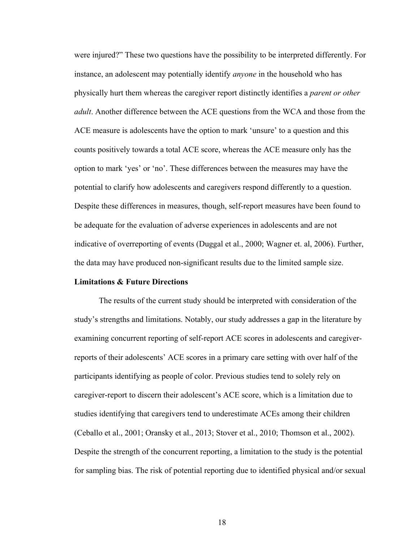were injured?" These two questions have the possibility to be interpreted differently. For instance, an adolescent may potentially identify *anyone* in the household who has physically hurt them whereas the caregiver report distinctly identifies a *parent or other adult*. Another difference between the ACE questions from the WCA and those from the ACE measure is adolescents have the option to mark 'unsure' to a question and this counts positively towards a total ACE score, whereas the ACE measure only has the option to mark 'yes' or 'no'. These differences between the measures may have the potential to clarify how adolescents and caregivers respond differently to a question. Despite these differences in measures, though, self-report measures have been found to be adequate for the evaluation of adverse experiences in adolescents and are not indicative of overreporting of events (Duggal et al., 2000; Wagner et. al, 2006). Further, the data may have produced non-significant results due to the limited sample size.

#### **Limitations & Future Directions**

The results of the current study should be interpreted with consideration of the study's strengths and limitations. Notably, our study addresses a gap in the literature by examining concurrent reporting of self-report ACE scores in adolescents and caregiverreports of their adolescents' ACE scores in a primary care setting with over half of the participants identifying as people of color. Previous studies tend to solely rely on caregiver-report to discern their adolescent's ACE score, which is a limitation due to studies identifying that caregivers tend to underestimate ACEs among their children (Ceballo et al., 2001; Oransky et al., 2013; Stover et al., 2010; Thomson et al., 2002). Despite the strength of the concurrent reporting, a limitation to the study is the potential for sampling bias. The risk of potential reporting due to identified physical and/or sexual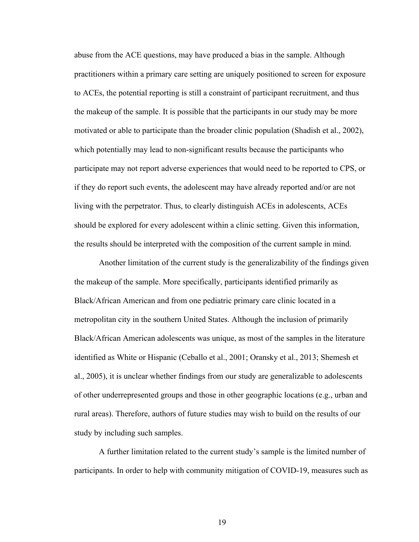abuse from the ACE questions, may have produced a bias in the sample. Although practitioners within a primary care setting are uniquely positioned to screen for exposure to ACEs, the potential reporting is still a constraint of participant recruitment, and thus the makeup of the sample. It is possible that the participants in our study may be more motivated or able to participate than the broader clinic population (Shadish et al., 2002), which potentially may lead to non-significant results because the participants who participate may not report adverse experiences that would need to be reported to CPS, or if they do report such events, the adolescent may have already reported and/or are not living with the perpetrator. Thus, to clearly distinguish ACEs in adolescents, ACEs should be explored for every adolescent within a clinic setting. Given this information, the results should be interpreted with the composition of the current sample in mind.

Another limitation of the current study is the generalizability of the findings given the makeup of the sample. More specifically, participants identified primarily as Black/African American and from one pediatric primary care clinic located in a metropolitan city in the southern United States. Although the inclusion of primarily Black/African American adolescents was unique, as most of the samples in the literature identified as White or Hispanic (Ceballo et al., 2001; Oransky et al., 2013; Shemesh et al., 2005), it is unclear whether findings from our study are generalizable to adolescents of other underrepresented groups and those in other geographic locations (e.g., urban and rural areas). Therefore, authors of future studies may wish to build on the results of our study by including such samples.

A further limitation related to the current study's sample is the limited number of participants. In order to help with community mitigation of COVID-19, measures such as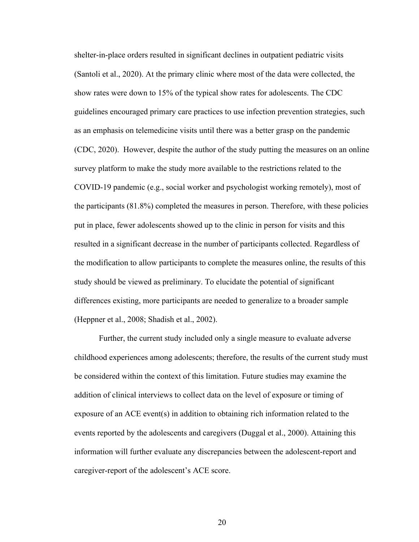shelter-in-place orders resulted in significant declines in outpatient pediatric visits (Santoli et al., 2020). At the primary clinic where most of the data were collected, the show rates were down to 15% of the typical show rates for adolescents. The CDC guidelines encouraged primary care practices to use infection prevention strategies, such as an emphasis on telemedicine visits until there was a better grasp on the pandemic (CDC, 2020). However, despite the author of the study putting the measures on an online survey platform to make the study more available to the restrictions related to the COVID-19 pandemic (e.g., social worker and psychologist working remotely), most of the participants (81.8%) completed the measures in person. Therefore, with these policies put in place, fewer adolescents showed up to the clinic in person for visits and this resulted in a significant decrease in the number of participants collected. Regardless of the modification to allow participants to complete the measures online, the results of this study should be viewed as preliminary. To elucidate the potential of significant differences existing, more participants are needed to generalize to a broader sample (Heppner et al., 2008; Shadish et al., 2002).

Further, the current study included only a single measure to evaluate adverse childhood experiences among adolescents; therefore, the results of the current study must be considered within the context of this limitation. Future studies may examine the addition of clinical interviews to collect data on the level of exposure or timing of exposure of an ACE event(s) in addition to obtaining rich information related to the events reported by the adolescents and caregivers (Duggal et al., 2000). Attaining this information will further evaluate any discrepancies between the adolescent-report and caregiver-report of the adolescent's ACE score.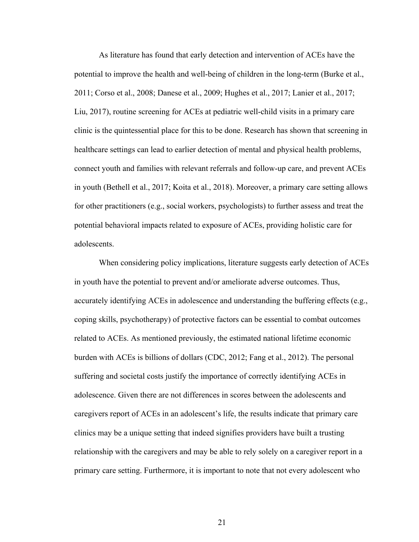As literature has found that early detection and intervention of ACEs have the potential to improve the health and well-being of children in the long-term (Burke et al., 2011; Corso et al., 2008; Danese et al., 2009; Hughes et al., 2017; Lanier et al., 2017; Liu, 2017), routine screening for ACEs at pediatric well-child visits in a primary care clinic is the quintessential place for this to be done. Research has shown that screening in healthcare settings can lead to earlier detection of mental and physical health problems, connect youth and families with relevant referrals and follow-up care, and prevent ACEs in youth (Bethell et al., 2017; Koita et al., 2018). Moreover, a primary care setting allows for other practitioners (e.g., social workers, psychologists) to further assess and treat the potential behavioral impacts related to exposure of ACEs, providing holistic care for adolescents.

When considering policy implications, literature suggests early detection of ACEs in youth have the potential to prevent and/or ameliorate adverse outcomes. Thus, accurately identifying ACEs in adolescence and understanding the buffering effects (e.g., coping skills, psychotherapy) of protective factors can be essential to combat outcomes related to ACEs. As mentioned previously, the estimated national lifetime economic burden with ACEs is billions of dollars (CDC, 2012; Fang et al., 2012). The personal suffering and societal costs justify the importance of correctly identifying ACEs in adolescence. Given there are not differences in scores between the adolescents and caregivers report of ACEs in an adolescent's life, the results indicate that primary care clinics may be a unique setting that indeed signifies providers have built a trusting relationship with the caregivers and may be able to rely solely on a caregiver report in a primary care setting. Furthermore, it is important to note that not every adolescent who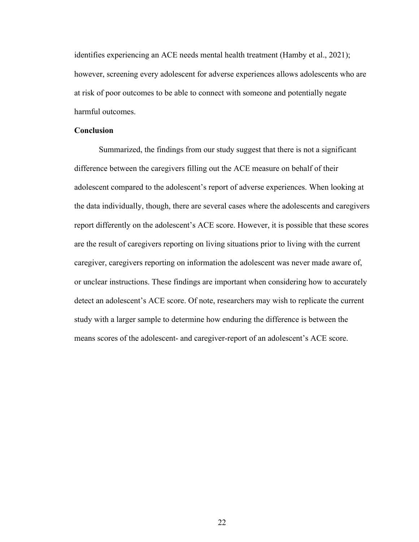identifies experiencing an ACE needs mental health treatment (Hamby et al., 2021); however, screening every adolescent for adverse experiences allows adolescents who are at risk of poor outcomes to be able to connect with someone and potentially negate harmful outcomes.

#### **Conclusion**

Summarized, the findings from our study suggest that there is not a significant difference between the caregivers filling out the ACE measure on behalf of their adolescent compared to the adolescent's report of adverse experiences. When looking at the data individually, though, there are several cases where the adolescents and caregivers report differently on the adolescent's ACE score. However, it is possible that these scores are the result of caregivers reporting on living situations prior to living with the current caregiver, caregivers reporting on information the adolescent was never made aware of, or unclear instructions. These findings are important when considering how to accurately detect an adolescent's ACE score. Of note, researchers may wish to replicate the current study with a larger sample to determine how enduring the difference is between the means scores of the adolescent- and caregiver-report of an adolescent's ACE score.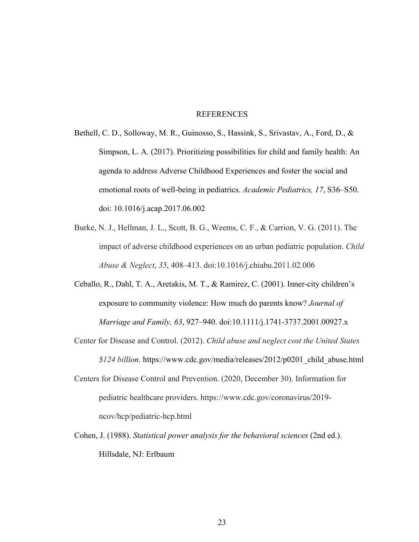#### REFERENCES

- Bethell, C. D., Solloway, M. R., Guinosso, S., Hassink, S., Srivastav, A., Ford, D., & Simpson, L. A. (2017). Prioritizing possibilities for child and family health: An agenda to address Adverse Childhood Experiences and foster the social and emotional roots of well-being in pediatrics. *Academic Pediatrics, 17*, S36–S50. doi: 10.1016/j.acap.2017.06.002
- Burke, N. J., Hellman, J. L., Scott, B. G., Weems, C. F., & Carrion, V. G. (2011). The impact of adverse childhood experiences on an urban pediatric population. *Child Abuse & Neglect*, *35*, 408–413. doi:10.1016/j.chiabu.2011.02.006
- Ceballo, R., Dahl, T. A., Aretakis, M. T., & Ramirez, C. (2001). Inner-city children's exposure to community violence: How much do parents know? *Journal of Marriage and Family, 63*, 927–940. doi:10.1111/j.1741-3737.2001.00927.x
- Center for Disease and Control. (2012). *Child abuse and neglect cost the United States \$124 billion*. https://www.cdc.gov/media/releases/2012/p0201\_child\_abuse.html
- Centers for Disease Control and Prevention. (2020, December 30). Information for pediatric healthcare providers. https://www.cdc.gov/coronavirus/2019 ncov/hcp/pediatric-hcp.html
- Cohen, J. (1988). *Statistical power analysis for the behavioral sciences* (2nd ed.). Hillsdale, NJ: Erlbaum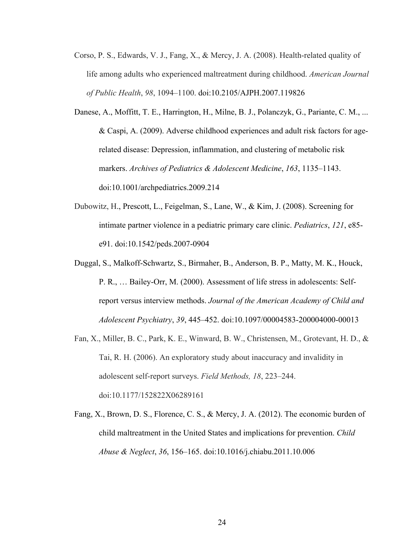- Corso, P. S., Edwards, V. J., Fang, X., & Mercy, J. A. (2008). Health-related quality of life among adults who experienced maltreatment during childhood. *American Journal of Public Health*, *98*, 1094–1100. doi:10.2105/AJPH.2007.119826
- Danese, A., Moffitt, T. E., Harrington, H., Milne, B. J., Polanczyk, G., Pariante, C. M., ... & Caspi, A. (2009). Adverse childhood experiences and adult risk factors for agerelated disease: Depression, inflammation, and clustering of metabolic risk markers. *Archives of Pediatrics & Adolescent Medicine*, *163*, 1135–1143. doi:10.1001/archpediatrics.2009.214
- Dubowitz, H., Prescott, L., Feigelman, S., Lane, W., & Kim, J. (2008). Screening for intimate partner violence in a pediatric primary care clinic. *Pediatrics*, *121*, e85 e91. doi:10.1542/peds.2007-0904
- Duggal, S., Malkoff-Schwartz, S., Birmaher, B., Anderson, B. P., Matty, M. K., Houck, P. R., … Bailey-Orr, M. (2000). Assessment of life stress in adolescents: Selfreport versus interview methods. *Journal of the American Academy of Child and Adolescent Psychiatry*, *39*, 445–452. doi:10.1097/00004583-200004000-00013
- Fan, X., Miller, B. C., Park, K. E., Winward, B. W., Christensen, M., Grotevant, H. D., & Tai, R. H. (2006). An exploratory study about inaccuracy and invalidity in adolescent self-report surveys. *Field Methods, 18*, 223–244. doi:10.1177/152822X06289161
- Fang, X., Brown, D. S., Florence, C. S., & Mercy, J. A. (2012). The economic burden of child maltreatment in the United States and implications for prevention. *Child Abuse & Neglect*, *36*, 156–165. doi:10.1016/j.chiabu.2011.10.006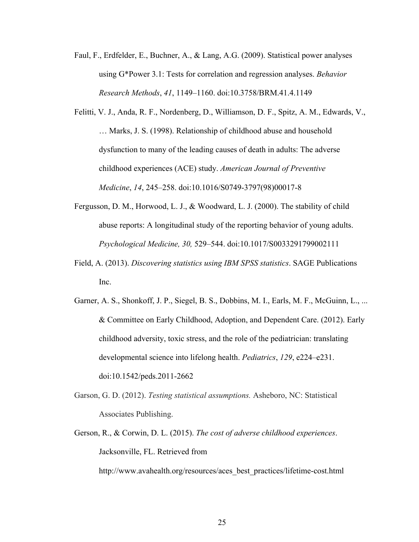- Faul, F., Erdfelder, E., Buchner, A., & Lang, A.G. (2009). Statistical power analyses using G\*Power 3.1: Tests for correlation and regression analyses. *Behavior Research Methods*, *41*, 1149–1160. doi:10.3758/BRM.41.4.1149
- Felitti, V. J., Anda, R. F., Nordenberg, D., Williamson, D. F., Spitz, A. M., Edwards, V., … Marks, J. S. (1998). Relationship of childhood abuse and household dysfunction to many of the leading causes of death in adults: The adverse childhood experiences (ACE) study. *American Journal of Preventive Medicine*, *14*, 245–258. doi:10.1016/S0749-3797(98)00017-8
- Fergusson, D. M., Horwood, L. J., & Woodward, L. J. (2000). The stability of child abuse reports: A longitudinal study of the reporting behavior of young adults. *Psychological Medicine, 30,* 529–544. doi:10.1017/S0033291799002111
- Field, A. (2013). *Discovering statistics using IBM SPSS statistics*. SAGE Publications Inc.
- Garner, A. S., Shonkoff, J. P., Siegel, B. S., Dobbins, M. I., Earls, M. F., McGuinn, L., ... & Committee on Early Childhood, Adoption, and Dependent Care. (2012). Early childhood adversity, toxic stress, and the role of the pediatrician: translating developmental science into lifelong health. *Pediatrics*, *129*, e224–e231. doi:10.1542/peds.2011-2662
- Garson, G. D. (2012). *Testing statistical assumptions.* Asheboro, NC: Statistical Associates Publishing.
- Gerson, R., & Corwin, D. L. (2015). *The cost of adverse childhood experiences*. Jacksonville, FL. Retrieved from

http://www.avahealth.org/resources/aces\_best\_practices/lifetime-cost.html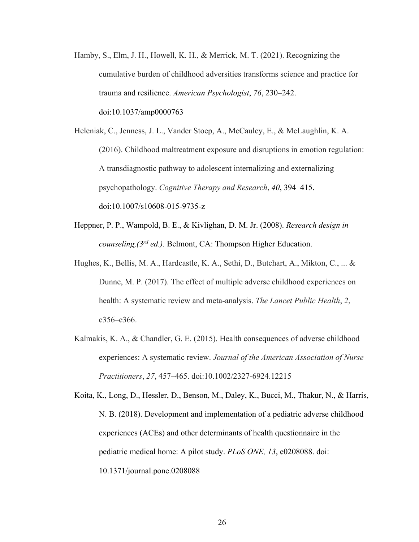- Hamby, S., Elm, J. H., Howell, K. H., & Merrick, M. T. (2021). Recognizing the cumulative burden of childhood adversities transforms science and practice for trauma and resilience. *American Psychologist*, *76*, 230–242. doi:10.1037/amp0000763
- Heleniak, C., Jenness, J. L., Vander Stoep, A., McCauley, E., & McLaughlin, K. A. (2016). Childhood maltreatment exposure and disruptions in emotion regulation: A transdiagnostic pathway to adolescent internalizing and externalizing psychopathology. *Cognitive Therapy and Research*, *40*, 394–415. doi:10.1007/s10608-015-9735-z
- Heppner, P. P., Wampold, B. E., & Kivlighan, D. M. Jr. (2008). *Research design in counseling,(3rd ed.).* Belmont, CA: Thompson Higher Education.
- Hughes, K., Bellis, M. A., Hardcastle, K. A., Sethi, D., Butchart, A., Mikton, C., ... & Dunne, M. P. (2017). The effect of multiple adverse childhood experiences on health: A systematic review and meta-analysis. *The Lancet Public Health*, *2*, e356–e366.
- Kalmakis, K. A., & Chandler, G. E. (2015). Health consequences of adverse childhood experiences: A systematic review. *Journal of the American Association of Nurse Practitioners*, *27*, 457–465. doi:10.1002/2327-6924.12215

Koita, K., Long, D., Hessler, D., Benson, M., Daley, K., Bucci, M., Thakur, N., & Harris, N. B. (2018). Development and implementation of a pediatric adverse childhood experiences (ACEs) and other determinants of health questionnaire in the pediatric medical home: A pilot study. *PLoS ONE, 13*, e0208088. doi: 10.1371/journal.pone.0208088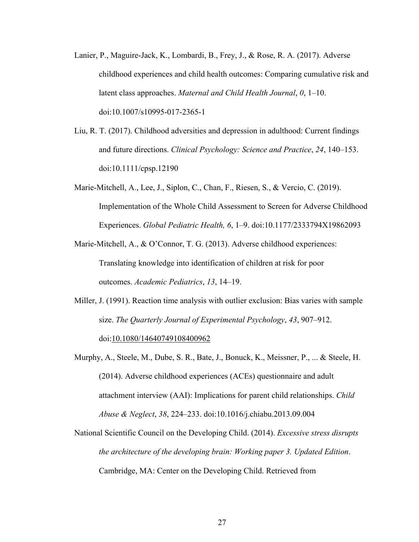- Lanier, P., Maguire-Jack, K., Lombardi, B., Frey, J., & Rose, R. A. (2017). Adverse childhood experiences and child health outcomes: Comparing cumulative risk and latent class approaches. *Maternal and Child Health Journal*, *0*, 1–10. doi:10.1007/s10995-017-2365-1
- Liu, R. T. (2017). Childhood adversities and depression in adulthood: Current findings and future directions. *Clinical Psychology: Science and Practice*, *24*, 140–153. doi:10.1111/cpsp.12190
- Marie-Mitchell, A., Lee, J., Siplon, C., Chan, F., Riesen, S., & Vercio, C. (2019). Implementation of the Whole Child Assessment to Screen for Adverse Childhood Experiences. *Global Pediatric Health, 6*, 1–9. doi:10.1177/2333794X19862093
- Marie-Mitchell, A., & O'Connor, T. G. (2013). Adverse childhood experiences: Translating knowledge into identification of children at risk for poor outcomes. *Academic Pediatrics*, *13*, 14–19.
- Miller, J. (1991). Reaction time analysis with outlier exclusion: Bias varies with sample size. *The Quarterly Journal of Experimental Psychology*, *43*, 907–912. doi:10.1080/14640749108400962
- Murphy, A., Steele, M., Dube, S. R., Bate, J., Bonuck, K., Meissner, P., ... & Steele, H. (2014). Adverse childhood experiences (ACEs) questionnaire and adult attachment interview (AAI): Implications for parent child relationships. *Child Abuse & Neglect*, *38*, 224–233. doi:10.1016/j.chiabu.2013.09.004
- National Scientific Council on the Developing Child. (2014). *Excessive stress disrupts the architecture of the developing brain: Working paper 3. Updated Edition*. Cambridge, MA: Center on the Developing Child. Retrieved from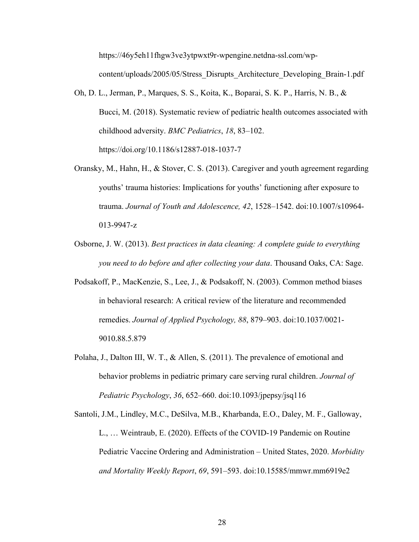https://46y5eh11fhgw3ve3ytpwxt9r-wpengine.netdna-ssl.com/wpcontent/uploads/2005/05/Stress\_Disrupts\_Architecture\_Developing\_Brain-1.pdf

- Oh, D. L., Jerman, P., Marques, S. S., Koita, K., Boparai, S. K. P., Harris, N. B., & Bucci, M. (2018). Systematic review of pediatric health outcomes associated with childhood adversity. *BMC Pediatrics*, *18*, 83–102. https://doi.org/10.1186/s12887-018-1037-7
- Oransky, M., Hahn, H., & Stover, C. S. (2013). Caregiver and youth agreement regarding youths' trauma histories: Implications for youths' functioning after exposure to trauma. *Journal of Youth and Adolescence, 42*, 1528–1542. doi:10.1007/s10964- 013-9947-z
- Osborne, J. W. (2013). *Best practices in data cleaning: A complete guide to everything you need to do before and after collecting your data*. Thousand Oaks, CA: Sage.
- Podsakoff, P., MacKenzie, S., Lee, J., & Podsakoff, N. (2003). Common method biases in behavioral research: A critical review of the literature and recommended remedies. *Journal of Applied Psychology, 88*, 879–903. doi:10.1037/0021- 9010.88.5.879
- Polaha, J., Dalton III, W. T., & Allen, S. (2011). The prevalence of emotional and behavior problems in pediatric primary care serving rural children. *Journal of Pediatric Psychology*, *36*, 652–660. doi:10.1093/jpepsy/jsq116

Santoli, J.M., Lindley, M.C., DeSilva, M.B., Kharbanda, E.O., Daley, M. F., Galloway, L., … Weintraub, E. (2020). Effects of the COVID-19 Pandemic on Routine Pediatric Vaccine Ordering and Administration – United States, 2020. *Morbidity and Mortality Weekly Report*, *69*, 591–593. doi:10.15585/mmwr.mm6919e2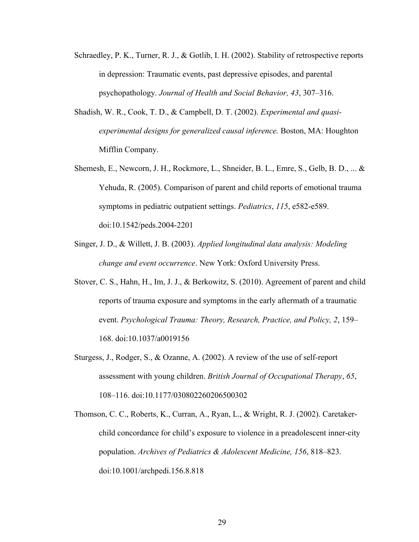- Schraedley, P. K., Turner, R. J., & Gotlib, I. H. (2002). Stability of retrospective reports in depression: Traumatic events, past depressive episodes, and parental psychopathology. *Journal of Health and Social Behavior, 43*, 307–316.
- Shadish, W. R., Cook, T. D., & Campbell, D. T. (2002). *Experimental and quasiexperimental designs for generalized causal inference.* Boston, MA: Houghton Mifflin Company.
- Shemesh, E., Newcorn, J. H., Rockmore, L., Shneider, B. L., Emre, S., Gelb, B. D., ... & Yehuda, R. (2005). Comparison of parent and child reports of emotional trauma symptoms in pediatric outpatient settings. *Pediatrics*, *115*, e582-e589. doi:10.1542/peds.2004-2201
- Singer, J. D., & Willett, J. B. (2003). *Applied longitudinal data analysis: Modeling change and event occurrence*. New York: Oxford University Press.
- Stover, C. S., Hahn, H., Im, J. J., & Berkowitz, S. (2010). Agreement of parent and child reports of trauma exposure and symptoms in the early aftermath of a traumatic event. *Psychological Trauma: Theory, Research, Practice, and Policy, 2*, 159– 168. doi:10.1037/a0019156
- Sturgess, J., Rodger, S., & Ozanne, A. (2002). A review of the use of self-report assessment with young children. *British Journal of Occupational Therapy*, *65*, 108–116. doi:10.1177/030802260206500302
- Thomson, C. C., Roberts, K., Curran, A., Ryan, L., & Wright, R. J. (2002). Caretakerchild concordance for child's exposure to violence in a preadolescent inner-city population. *Archives of Pediatrics & Adolescent Medicine, 156*, 818–823. doi:10.1001/archpedi.156.8.818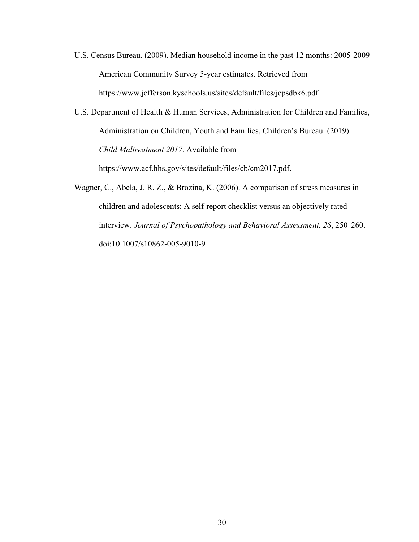- U.S. Census Bureau. (2009). Median household income in the past 12 months: 2005-2009 American Community Survey 5-year estimates. Retrieved from https://www.jefferson.kyschools.us/sites/default/files/jcpsdbk6.pdf
- U.S. Department of Health & Human Services, Administration for Children and Families, Administration on Children, Youth and Families, Children's Bureau. (2019). *Child Maltreatment 2017*. Available from https://www.acf.hhs.gov/sites/default/files/cb/cm2017.pdf.
- Wagner, C., Abela, J. R. Z., & Brozina, K. (2006). A comparison of stress measures in children and adolescents: A self-report checklist versus an objectively rated interview. *Journal of Psychopathology and Behavioral Assessment, 28*, 250–260. doi:10.1007/s10862-005-9010-9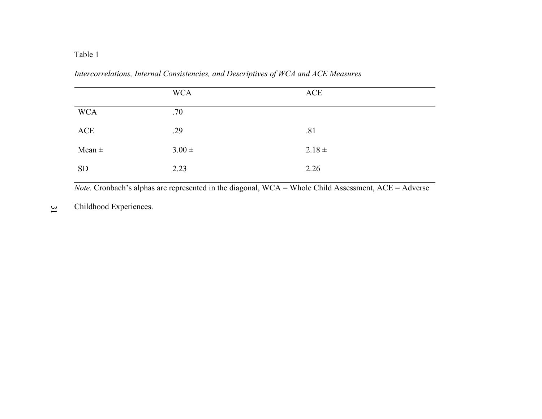# Table 1

*Intercorrelations, Internal Consistencies, and Descriptives of WCA and ACE Measures*

|            | <b>WCA</b> | ACE        |
|------------|------------|------------|
| <b>WCA</b> | .70        |            |
| ACE        | .29        | .81        |
| Mean $\pm$ | $3.00 \pm$ | $2.18 \pm$ |
| <b>SD</b>  | 2.23       | 2.26       |

*Note.* Cronbach's alphas are represented in the diagonal, WCA = Whole Child Assessment, ACE = Adverse

31 Childhood Experiences.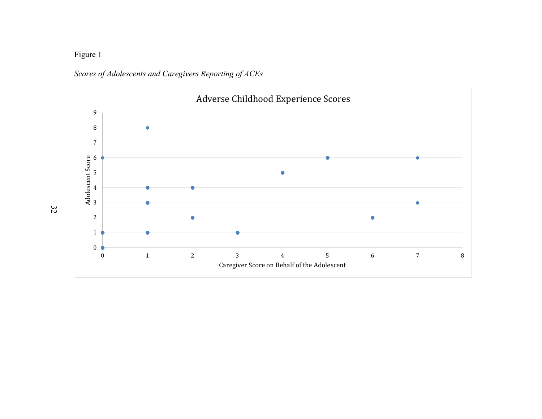# Figure 1



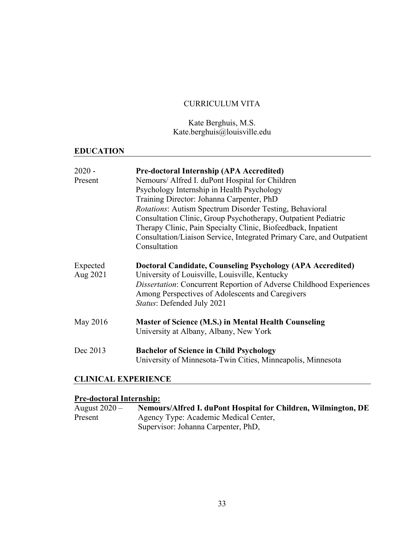# CURRICULUM VITA

Kate Berghuis, M.S. Kate.berghuis@louisville.edu

# **EDUCATION**

| $2020 -$<br>Present  | <b>Pre-doctoral Internship (APA Accredited)</b><br>Nemours/ Alfred I. duPont Hospital for Children<br>Psychology Internship in Health Psychology<br>Training Director: Johanna Carpenter, PhD<br><i>Rotations:</i> Autism Spectrum Disorder Testing, Behavioral<br>Consultation Clinic, Group Psychotherapy, Outpatient Pediatric<br>Therapy Clinic, Pain Specialty Clinic, Biofeedback, Inpatient<br>Consultation/Liaison Service, Integrated Primary Care, and Outpatient<br>Consultation |
|----------------------|---------------------------------------------------------------------------------------------------------------------------------------------------------------------------------------------------------------------------------------------------------------------------------------------------------------------------------------------------------------------------------------------------------------------------------------------------------------------------------------------|
| Expected<br>Aug 2021 | <b>Doctoral Candidate, Counseling Psychology (APA Accredited)</b><br>University of Louisville, Louisville, Kentucky<br><i>Dissertation:</i> Concurrent Reportion of Adverse Childhood Experiences<br>Among Perspectives of Adolescents and Caregivers<br><i>Status: Defended July 2021</i>                                                                                                                                                                                                  |
| May 2016             | <b>Master of Science (M.S.) in Mental Health Counseling</b><br>University at Albany, Albany, New York                                                                                                                                                                                                                                                                                                                                                                                       |
| Dec 2013             | <b>Bachelor of Science in Child Psychology</b><br>University of Minnesota-Twin Cities, Minneapolis, Minnesota                                                                                                                                                                                                                                                                                                                                                                               |

# **CLINICAL EXPERIENCE**

# **Pre-doctoral Internship:**

| August $2020 -$ | Nemours/Alfred I. duPont Hospital for Children, Wilmington, DE |
|-----------------|----------------------------------------------------------------|
| Present         | Agency Type: Academic Medical Center,                          |
|                 | Supervisor: Johanna Carpenter, PhD,                            |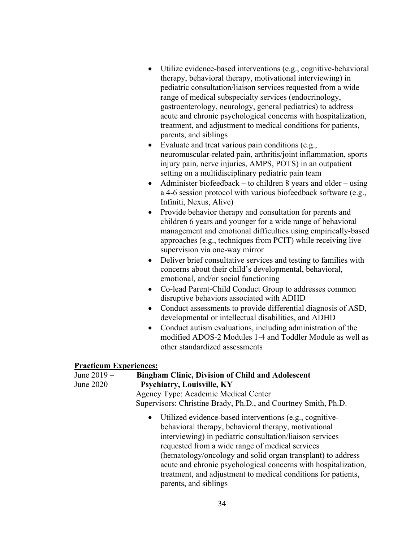- Utilize evidence-based interventions (e.g., cognitive-behavioral therapy, behavioral therapy, motivational interviewing) in pediatric consultation/liaison services requested from a wide range of medical subspecialty services (endocrinology, gastroenterology, neurology, general pediatrics) to address acute and chronic psychological concerns with hospitalization, treatment, and adjustment to medical conditions for patients, parents, and siblings
- Evaluate and treat various pain conditions (e.g., neuromuscular-related pain, arthritis/joint inflammation, sports injury pain, nerve injuries, AMPS, POTS) in an outpatient setting on a multidisciplinary pediatric pain team
- Administer biofeedback to children 8 years and older using a 4-6 session protocol with various biofeedback software (e.g., Infiniti, Nexus, Alive)
- Provide behavior therapy and consultation for parents and children 6 years and younger for a wide range of behavioral management and emotional difficulties using empirically-based approaches (e.g., techniques from PCIT) while receiving live supervision via one-way mirror
- Deliver brief consultative services and testing to families with concerns about their child's developmental, behavioral, emotional, and/or social functioning
- Co-lead Parent-Child Conduct Group to addresses common disruptive behaviors associated with ADHD
- Conduct assessments to provide differential diagnosis of ASD, developmental or intellectual disabilities, and ADHD
- Conduct autism evaluations, including administration of the modified ADOS-2 Modules 1-4 and Toddler Module as well as other standardized assessments

### **Practicum Experiences:**

| June 2019 - | <b>Bingham Clinic, Division of Child and Adolescent</b>                                                                                                                                                                                                                                                                                                                                                                                                     |
|-------------|-------------------------------------------------------------------------------------------------------------------------------------------------------------------------------------------------------------------------------------------------------------------------------------------------------------------------------------------------------------------------------------------------------------------------------------------------------------|
| June 2020   | <b>Psychiatry, Louisville, KY</b>                                                                                                                                                                                                                                                                                                                                                                                                                           |
|             | Agency Type: Academic Medical Center                                                                                                                                                                                                                                                                                                                                                                                                                        |
|             | Supervisors: Christine Brady, Ph.D., and Courtney Smith, Ph.D.                                                                                                                                                                                                                                                                                                                                                                                              |
|             | • Utilized evidence-based interventions (e.g., cognitive-<br>behavioral therapy, behavioral therapy, motivational<br>interviewing) in pediatric consultation/liaison services<br>requested from a wide range of medical services<br>(hematology/oncology and solid organ transplant) to address<br>acute and chronic psychological concerns with hospitalization,<br>treatment, and adjustment to medical conditions for patients,<br>parents, and siblings |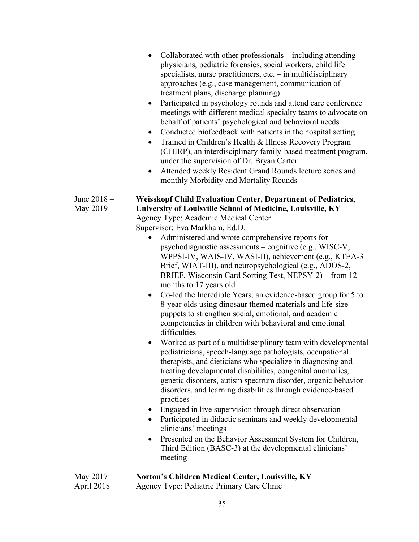|                            | Collaborated with other professionals $-$ including attending<br>physicians, pediatric forensics, social workers, child life<br>specialists, nurse practitioners, etc. $-$ in multidisciplinary<br>approaches (e.g., case management, communication of<br>treatment plans, discharge planning)<br>Participated in psychology rounds and attend care conference<br>$\bullet$<br>meetings with different medical specialty teams to advocate on<br>behalf of patients' psychological and behavioral needs<br>Conducted biofeedback with patients in the hospital setting<br>$\bullet$<br>Trained in Children's Health & Illness Recovery Program<br>$\bullet$<br>(CHIRP), an interdisciplinary family-based treatment program,<br>under the supervision of Dr. Bryan Carter<br>Attended weekly Resident Grand Rounds lecture series and<br>$\bullet$<br>monthly Morbidity and Mortality Rounds                                                                                                                                                                                                                                                                                                                                                                                                                                                                                                                                                                                                                                                         |
|----------------------------|------------------------------------------------------------------------------------------------------------------------------------------------------------------------------------------------------------------------------------------------------------------------------------------------------------------------------------------------------------------------------------------------------------------------------------------------------------------------------------------------------------------------------------------------------------------------------------------------------------------------------------------------------------------------------------------------------------------------------------------------------------------------------------------------------------------------------------------------------------------------------------------------------------------------------------------------------------------------------------------------------------------------------------------------------------------------------------------------------------------------------------------------------------------------------------------------------------------------------------------------------------------------------------------------------------------------------------------------------------------------------------------------------------------------------------------------------------------------------------------------------------------------------------------------------|
| June 2018 -<br>May 2019    | <b>Weisskopf Child Evaluation Center, Department of Pediatrics,</b><br>University of Louisville School of Medicine, Louisville, KY<br>Agency Type: Academic Medical Center<br>Supervisor: Eva Markham, Ed.D.<br>Administered and wrote comprehensive reports for<br>$\bullet$<br>psychodiagnostic assessments - cognitive (e.g., WISC-V,<br>WPPSI-IV, WAIS-IV, WASI-II), achievement (e.g., KTEA-3<br>Brief, WIAT-III), and neuropsychological (e.g., ADOS-2,<br>BRIEF, Wisconsin Card Sorting Test, NEPSY-2) – from 12<br>months to 17 years old<br>Co-led the Incredible Years, an evidence-based group for 5 to<br>$\bullet$<br>8-year olds using dinosaur themed materials and life-size<br>puppets to strengthen social, emotional, and academic<br>competencies in children with behavioral and emotional<br>difficulties<br>Worked as part of a multidisciplinary team with developmental<br>pediatricians, speech-language pathologists, occupational<br>therapists, and dieticians who specialize in diagnosing and<br>treating developmental disabilities, congenital anomalies,<br>genetic disorders, autism spectrum disorder, organic behavior<br>disorders, and learning disabilities through evidence-based<br>practices<br>Engaged in live supervision through direct observation<br>Participated in didactic seminars and weekly developmental<br>$\bullet$<br>clinicians' meetings<br>Presented on the Behavior Assessment System for Children,<br>$\bullet$<br>Third Edition (BASC-3) at the developmental clinicians'<br>meeting |
| May $2017 -$<br>April 2018 | <b>Norton's Children Medical Center, Louisville, KY</b><br>Agency Type: Pediatric Primary Care Clinic                                                                                                                                                                                                                                                                                                                                                                                                                                                                                                                                                                                                                                                                                                                                                                                                                                                                                                                                                                                                                                                                                                                                                                                                                                                                                                                                                                                                                                                |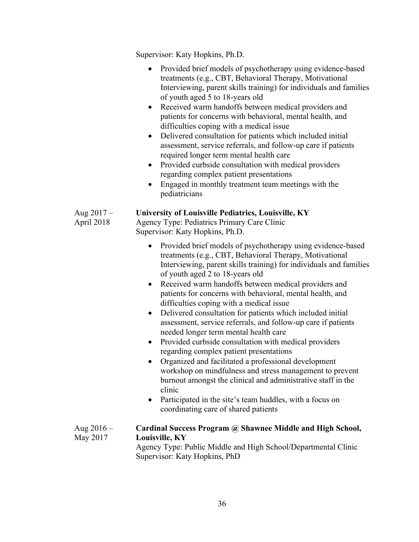Supervisor: Katy Hopkins, Ph.D.

|                            | Provided brief models of psychotherapy using evidence-based<br>$\bullet$<br>treatments (e.g., CBT, Behavioral Therapy, Motivational<br>Interviewing, parent skills training) for individuals and families<br>of youth aged 5 to 18-years old<br>Received warm handoffs between medical providers and<br>٠<br>patients for concerns with behavioral, mental health, and<br>difficulties coping with a medical issue<br>Delivered consultation for patients which included initial<br>$\bullet$<br>assessment, service referrals, and follow-up care if patients<br>required longer term mental health care<br>Provided curbside consultation with medical providers<br>regarding complex patient presentations<br>Engaged in monthly treatment team meetings with the<br>pediatricians                                                                                                                                                                                                                                                           |
|----------------------------|-------------------------------------------------------------------------------------------------------------------------------------------------------------------------------------------------------------------------------------------------------------------------------------------------------------------------------------------------------------------------------------------------------------------------------------------------------------------------------------------------------------------------------------------------------------------------------------------------------------------------------------------------------------------------------------------------------------------------------------------------------------------------------------------------------------------------------------------------------------------------------------------------------------------------------------------------------------------------------------------------------------------------------------------------|
| Aug $2017 -$<br>April 2018 | <b>University of Louisville Pediatrics, Louisville, KY</b><br>Agency Type: Pediatrics Primary Care Clinic<br>Supervisor: Katy Hopkins, Ph.D.                                                                                                                                                                                                                                                                                                                                                                                                                                                                                                                                                                                                                                                                                                                                                                                                                                                                                                    |
|                            | Provided brief models of psychotherapy using evidence-based<br>$\bullet$<br>treatments (e.g., CBT, Behavioral Therapy, Motivational<br>Interviewing, parent skills training) for individuals and families<br>of youth aged 2 to 18-years old<br>Received warm handoffs between medical providers and<br>$\bullet$<br>patients for concerns with behavioral, mental health, and<br>difficulties coping with a medical issue<br>Delivered consultation for patients which included initial<br>$\bullet$<br>assessment, service referrals, and follow-up care if patients<br>needed longer term mental health care<br>Provided curbside consultation with medical providers<br>$\bullet$<br>regarding complex patient presentations<br>Organized and facilitated a professional development<br>workshop on mindfulness and stress management to prevent<br>burnout amongst the clinical and administrative staff in the<br>clinic<br>Participated in the site's team huddles, with a focus on<br>$\bullet$<br>coordinating care of shared patients |
| Aug $2016 -$<br>May 2017   | Cardinal Success Program @ Shawnee Middle and High School,<br>Louisville, KY<br>Agency Type: Public Middle and High School/Departmental Clinic<br>Supervisor: Katy Hopkins, PhD                                                                                                                                                                                                                                                                                                                                                                                                                                                                                                                                                                                                                                                                                                                                                                                                                                                                 |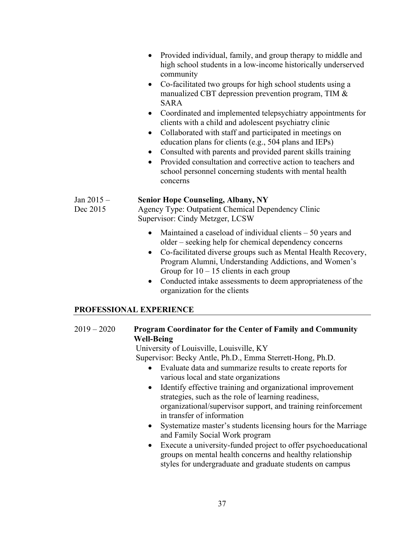- Provided individual, family, and group therapy to middle and high school students in a low-income historically underserved community
- Co-facilitated two groups for high school students using a manualized CBT depression prevention program, TIM & SARA
- Coordinated and implemented telepsychiatry appointments for clients with a child and adolescent psychiatry clinic
- Collaborated with staff and participated in meetings on education plans for clients (e.g., 504 plans and IEPs)
- Consulted with parents and provided parent skills training
- Provided consultation and corrective action to teachers and school personnel concerning students with mental health concerns

### Jan 2015 – **Senior Hope Counseling, Albany, NY**

Dec 2015 Agency Type: Outpatient Chemical Dependency Clinic Supervisor: Cindy Metzger, LCSW

- Maintained a caseload of individual clients 50 years and older – seeking help for chemical dependency concerns
- Co-facilitated diverse groups such as Mental Health Recovery, Program Alumni, Understanding Addictions, and Women's Group for  $10 - 15$  clients in each group
- Conducted intake assessments to deem appropriateness of the organization for the clients

# **PROFESSIONAL EXPERIENCE**

# 2019 – 2020 **Program Coordinator for the Center of Family and Community Well-Being**

University of Louisville, Louisville, KY

Supervisor: Becky Antle, Ph.D., Emma Sterrett-Hong, Ph.D.

- Evaluate data and summarize results to create reports for various local and state organizations
- Identify effective training and organizational improvement strategies, such as the role of learning readiness, organizational/supervisor support, and training reinforcement in transfer of information
- Systematize master's students licensing hours for the Marriage and Family Social Work program
- Execute a university-funded project to offer psychoeducational groups on mental health concerns and healthy relationship styles for undergraduate and graduate students on campus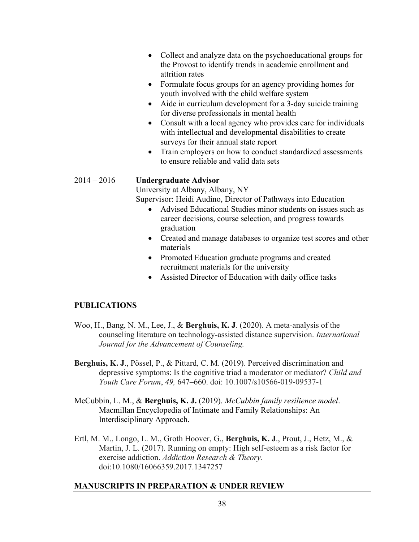- Collect and analyze data on the psychoeducational groups for the Provost to identify trends in academic enrollment and attrition rates
- Formulate focus groups for an agency providing homes for youth involved with the child welfare system
- Aide in curriculum development for a 3-day suicide training for diverse professionals in mental health
- Consult with a local agency who provides care for individuals with intellectual and developmental disabilities to create surveys for their annual state report
- Train employers on how to conduct standardized assessments to ensure reliable and valid data sets

#### 2014 – 2016 **Undergraduate Advisor**

University at Albany, Albany, NY

Supervisor: Heidi Audino, Director of Pathways into Education

- Advised Educational Studies minor students on issues such as career decisions, course selection, and progress towards graduation
- Created and manage databases to organize test scores and other materials
- Promoted Education graduate programs and created recruitment materials for the university
- Assisted Director of Education with daily office tasks

### **PUBLICATIONS**

- Woo, H., Bang, N. M., Lee, J., & **Berghuis, K. J**. (2020). A meta-analysis of the counseling literature on technology-assisted distance supervision. *International Journal for the Advancement of Counseling.*
- **Berghuis, K. J**., Pössel, P., & Pittard, C. M. (2019). Perceived discrimination and depressive symptoms: Is the cognitive triad a moderator or mediator? *Child and Youth Care Forum*, *49,* 647–660. doi: 10.1007/s10566-019-09537-1
- McCubbin, L. M., & **Berghuis, K. J.** (2019). *McCubbin family resilience model*. Macmillan Encyclopedia of Intimate and Family Relationships: An Interdisciplinary Approach.
- Ertl, M. M., Longo, L. M., Groth Hoover, G., **Berghuis, K. J**., Prout, J., Hetz, M., & Martin, J. L. (2017). Running on empty: High self-esteem as a risk factor for exercise addiction. *Addiction Research & Theory*. doi:10.1080/16066359.2017.1347257

#### **MANUSCRIPTS IN PREPARATION & UNDER REVIEW**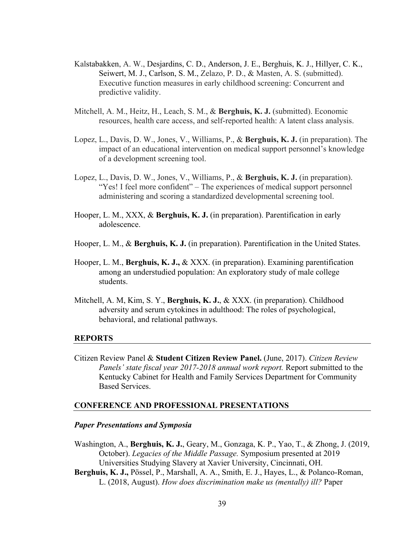- Kalstabakken, A. W., Desjardins, C. D., Anderson, J. E., Berghuis, K. J., Hillyer, C. K., Seiwert, M. J., Carlson, S. M., Zelazo, P. D., & Masten, A. S. (submitted). Executive function measures in early childhood screening: Concurrent and predictive validity.
- Mitchell, A. M., Heitz, H., Leach, S. M., & **Berghuis, K. J.** (submitted). Economic resources, health care access, and self-reported health: A latent class analysis.
- Lopez, L., Davis, D. W., Jones, V., Williams, P., & **Berghuis, K. J.** (in preparation). The impact of an educational intervention on medical support personnel's knowledge of a development screening tool.
- Lopez, L., Davis, D. W., Jones, V., Williams, P., & **Berghuis, K. J.** (in preparation). "Yes! I feel more confident" – The experiences of medical support personnel administering and scoring a standardized developmental screening tool.
- Hooper, L. M., XXX, & **Berghuis, K. J.** (in preparation). Parentification in early adolescence.
- Hooper, L. M., & **Berghuis, K. J.** (in preparation). Parentification in the United States.
- Hooper, L. M., **Berghuis, K. J.,** & XXX. (in preparation). Examining parentification among an understudied population: An exploratory study of male college students.
- Mitchell, A. M, Kim, S. Y., **Berghuis, K. J.**, & XXX. (in preparation). Childhood adversity and serum cytokines in adulthood: The roles of psychological, behavioral, and relational pathways.

#### **REPORTS**

Citizen Review Panel & **Student Citizen Review Panel.** (June, 2017). *Citizen Review Panels' state fiscal year 2017-2018 annual work report.* Report submitted to the Kentucky Cabinet for Health and Family Services Department for Community Based Services.

#### **CONFERENCE AND PROFESSIONAL PRESENTATIONS**

#### *Paper Presentations and Symposia*

- Washington, A., **Berghuis, K. J.**, Geary, M., Gonzaga, K. P., Yao, T., & Zhong, J. (2019, October). *Legacies of the Middle Passage.* Symposium presented at 2019 Universities Studying Slavery at Xavier University, Cincinnati, OH.
- **Berghuis, K. J.,** Pössel, P., Marshall, A. A., Smith, E. J., Hayes, L., & Polanco-Roman, L. (2018, August). *How does discrimination make us (mentally) ill?* Paper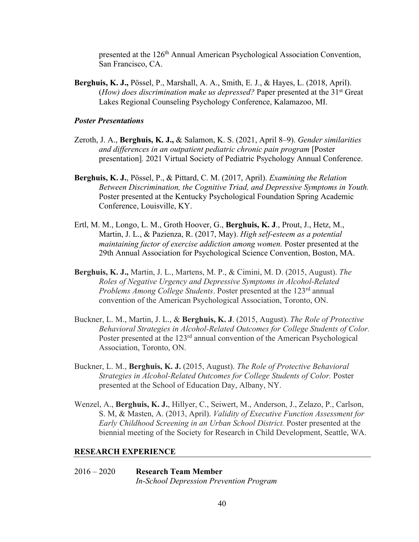presented at the 126<sup>th</sup> Annual American Psychological Association Convention, San Francisco, CA.

**Berghuis, K. J.,** Pössel, P., Marshall, A. A., Smith, E. J., & Hayes, L. (2018, April). (*How*) does discrimination make us depressed? Paper presented at the 31<sup>st</sup> Great Lakes Regional Counseling Psychology Conference, Kalamazoo, MI.

#### *Poster Presentations*

- Zeroth, J. A., **Berghuis, K. J.,** & Salamon, K. S. (2021, April 8–9). *Gender similarities and differences in an outpatient pediatric chronic pain program* [Poster presentation]*.* 2021 Virtual Society of Pediatric Psychology Annual Conference.
- **Berghuis, K. J.**, Pössel, P., & Pittard, C. M. (2017, April). *Examining the Relation Between Discrimination, the Cognitive Triad, and Depressive Symptoms in Youth.* Poster presented at the Kentucky Psychological Foundation Spring Academic Conference, Louisville, KY.
- Ertl, M. M., Longo, L. M., Groth Hoover, G., **Berghuis, K. J**., Prout, J., Hetz, M., Martin, J. L., & Pazienza, R. (2017, May). *High self-esteem as a potential maintaining factor of exercise addiction among women.* Poster presented at the 29th Annual Association for Psychological Science Convention, Boston, MA.
- **Berghuis, K. J.,** Martin, J. L., Martens, M. P., & Cimini, M. D. (2015, August). *The Roles of Negative Urgency and Depressive Symptoms in Alcohol-Related Problems Among College Students.* Poster presented at the 123<sup>rd</sup> annual convention of the American Psychological Association, Toronto, ON.
- Buckner, L. M., Martin, J. L., & **Berghuis, K. J**. (2015, August). *The Role of Protective Behavioral Strategies in Alcohol-Related Outcomes for College Students of Color.* Poster presented at the 123<sup>rd</sup> annual convention of the American Psychological Association, Toronto, ON.
- Buckner, L. M., **Berghuis, K. J.** (2015, August). *The Role of Protective Behavioral Strategies in Alcohol-Related Outcomes for College Students of Color.* Poster presented at the School of Education Day, Albany, NY.
- Wenzel, A., **Berghuis, K. J.**, Hillyer, C., Seiwert, M., Anderson, J., Zelazo, P., Carlson, S. M, & Masten, A. (2013, April). *Validity of Executive Function Assessment for Early Childhood Screening in an Urban School District.* Poster presented at the biennial meeting of the Society for Research in Child Development, Seattle, WA.

#### **RESEARCH EXPERIENCE**

2016 – 2020 **Research Team Member** *In-School Depression Prevention Program*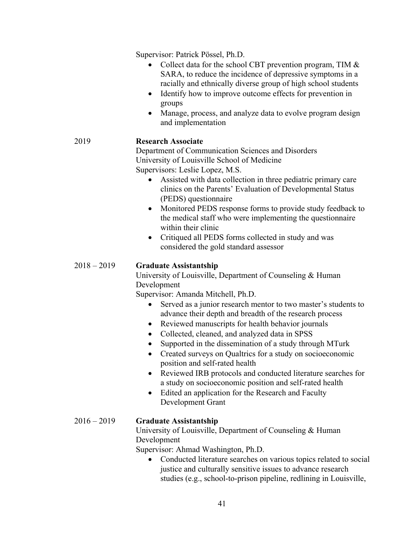Supervisor: Patrick Pössel, Ph.D.

- Collect data for the school CBT prevention program, TIM & SARA, to reduce the incidence of depressive symptoms in a racially and ethnically diverse group of high school students
- Identify how to improve outcome effects for prevention in groups
- Manage, process, and analyze data to evolve program design and implementation

## 2019 **Research Associate**

Department of Communication Sciences and Disorders University of Louisville School of Medicine Supervisors: Leslie Lopez, M.S.

- Assisted with data collection in three pediatric primary care clinics on the Parents' Evaluation of Developmental Status (PEDS) questionnaire
- Monitored PEDS response forms to provide study feedback to the medical staff who were implementing the questionnaire within their clinic
- Critiqued all PEDS forms collected in study and was considered the gold standard assessor

#### 2018 – 2019 **Graduate Assistantship**

University of Louisville, Department of Counseling & Human Development

Supervisor: Amanda Mitchell, Ph.D.

- Served as a junior research mentor to two master's students to advance their depth and breadth of the research process
- Reviewed manuscripts for health behavior journals
- Collected, cleaned, and analyzed data in SPSS
- Supported in the dissemination of a study through MTurk
- Created surveys on Qualtrics for a study on socioeconomic position and self-rated health
- Reviewed IRB protocols and conducted literature searches for a study on socioeconomic position and self-rated health
- Edited an application for the Research and Faculty Development Grant

### 2016 – 2019 **Graduate Assistantship**

University of Louisville, Department of Counseling & Human Development

Supervisor: Ahmad Washington, Ph.D.

• Conducted literature searches on various topics related to social justice and culturally sensitive issues to advance research studies (e.g., school-to-prison pipeline, redlining in Louisville,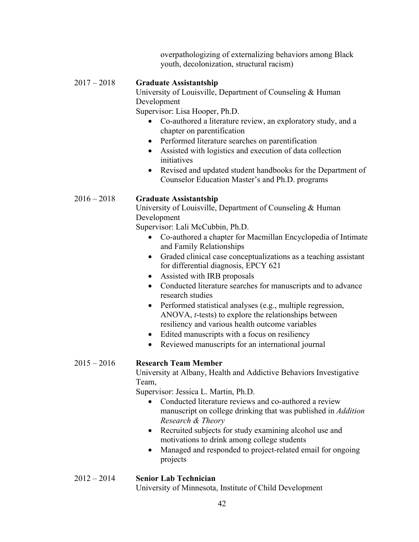overpathologizing of externalizing behaviors among Black youth, decolonization, structural racism)

## 2017 – 2018 **Graduate Assistantship**

University of Louisville, Department of Counseling & Human Development

Supervisor: Lisa Hooper, Ph.D.

- Co-authored a literature review, an exploratory study, and a chapter on parentification
- Performed literature searches on parentification
- Assisted with logistics and execution of data collection initiatives
- Revised and updated student handbooks for the Department of Counselor Education Master's and Ph.D. programs

# 2016 – 2018 **Graduate Assistantship**

University of Louisville, Department of Counseling & Human Development

Supervisor: Lali McCubbin, Ph.D.

- Co-authored a chapter for Macmillan Encyclopedia of Intimate and Family Relationships
- Graded clinical case conceptualizations as a teaching assistant for differential diagnosis, EPCY 621
- Assisted with IRB proposals
- Conducted literature searches for manuscripts and to advance research studies
- Performed statistical analyses (e.g., multiple regression, ANOVA, *t*-tests) to explore the relationships between resiliency and various health outcome variables
- Edited manuscripts with a focus on resiliency
- Reviewed manuscripts for an international journal

# 2015 – 2016 **Research Team Member**

University at Albany, Health and Addictive Behaviors Investigative Team,

Supervisor: Jessica L. Martin, Ph.D.

- Conducted literature reviews and co-authored a review manuscript on college drinking that was published in *Addition Research & Theory*
- Recruited subjects for study examining alcohol use and motivations to drink among college students
- Managed and responded to project-related email for ongoing projects

# 2012 – 2014 **Senior Lab Technician**

University of Minnesota, Institute of Child Development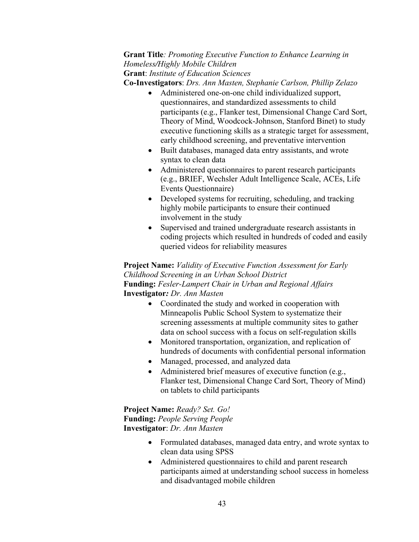# **Grant Title***: Promoting Executive Function to Enhance Learning in Homeless/Highly Mobile Children* **Grant**: *Institute of Education Sciences*

**Co-Investigators**: *Drs. Ann Masten, Stephanie Carlson, Phillip Zelazo*

- Administered one-on-one child individualized support, questionnaires, and standardized assessments to child participants (e.g., Flanker test, Dimensional Change Card Sort, Theory of Mind, Woodcock-Johnson, Stanford Binet) to study executive functioning skills as a strategic target for assessment, early childhood screening, and preventative intervention
- Built databases, managed data entry assistants, and wrote syntax to clean data
- Administered questionnaires to parent research participants (e.g., BRIEF, Wechsler Adult Intelligence Scale, ACEs, Life Events Questionnaire)
- Developed systems for recruiting, scheduling, and tracking highly mobile participants to ensure their continued involvement in the study
- Supervised and trained undergraduate research assistants in coding projects which resulted in hundreds of coded and easily queried videos for reliability measures

**Project Name:** *Validity of Executive Function Assessment for Early Childhood Screening in an Urban School District* **Funding:** *Fesler-Lampert Chair in Urban and Regional Affairs* **Investigator***: Dr. Ann Masten*

- Coordinated the study and worked in cooperation with Minneapolis Public School System to systematize their screening assessments at multiple community sites to gather data on school success with a focus on self-regulation skills
- Monitored transportation, organization, and replication of hundreds of documents with confidential personal information
- Managed, processed, and analyzed data
- Administered brief measures of executive function (e.g., Flanker test, Dimensional Change Card Sort, Theory of Mind) on tablets to child participants

**Project Name:** *Ready? Set. Go!* **Funding:** *People Serving People* **Investigator**: *Dr. Ann Masten*

- Formulated databases, managed data entry, and wrote syntax to clean data using SPSS
- Administered questionnaires to child and parent research participants aimed at understanding school success in homeless and disadvantaged mobile children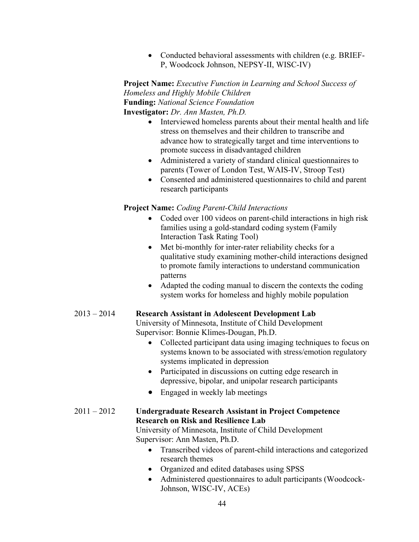• Conducted behavioral assessments with children (e.g. BRIEF-P, Woodcock Johnson, NEPSY-II, WISC-IV)

**Project Name:** *Executive Function in Learning and School Success of Homeless and Highly Mobile Children* **Funding:** *National Science Foundation* **Investigator:** *Dr. Ann Masten, Ph.D.*

- Interviewed homeless parents about their mental health and life stress on themselves and their children to transcribe and advance how to strategically target and time interventions to promote success in disadvantaged children
- Administered a variety of standard clinical questionnaires to parents (Tower of London Test, WAIS-IV, Stroop Test)
- Consented and administered questionnaires to child and parent research participants

## **Project Name:** *Coding Parent-Child Interactions*

- Coded over 100 videos on parent-child interactions in high risk families using a gold-standard coding system (Family Interaction Task Rating Tool)
- Met bi-monthly for inter-rater reliability checks for a qualitative study examining mother-child interactions designed to promote family interactions to understand communication patterns
- Adapted the coding manual to discern the contexts the coding system works for homeless and highly mobile population

### 2013 – 2014 **Research Assistant in Adolescent Development Lab**

University of Minnesota, Institute of Child Development Supervisor: Bonnie Klimes-Dougan, Ph.D.

- Collected participant data using imaging techniques to focus on systems known to be associated with stress/emotion regulatory systems implicated in depression
- Participated in discussions on cutting edge research in depressive, bipolar, and unipolar research participants
- Engaged in weekly lab meetings

### 2011 – 2012 **Undergraduate Research Assistant in Project Competence Research on Risk and Resilience Lab**

University of Minnesota, Institute of Child Development Supervisor: Ann Masten, Ph.D.

- Transcribed videos of parent-child interactions and categorized research themes
- Organized and edited databases using SPSS
- Administered questionnaires to adult participants (Woodcock-Johnson, WISC-IV, ACEs)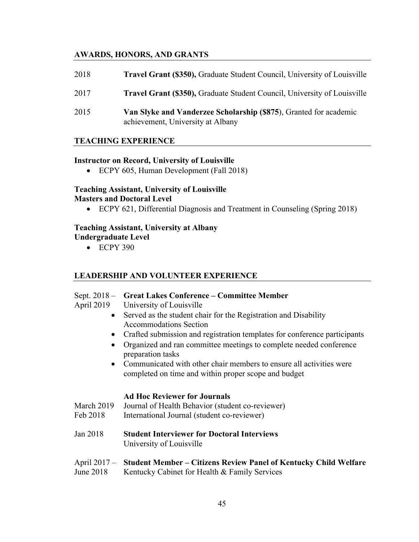# **AWARDS, HONORS, AND GRANTS**

| 2018 | Travel Grant (\$350), Graduate Student Council, University of Louisville                               |
|------|--------------------------------------------------------------------------------------------------------|
| 2017 | <b>Travel Grant (\$350), Graduate Student Council, University of Louisville</b>                        |
| 2015 | Van Slyke and Vanderzee Scholarship (\$875), Granted for academic<br>achievement, University at Albany |

#### **TEACHING EXPERIENCE**

#### **Instructor on Record, University of Louisville**

• ECPY 605, Human Development (Fall 2018)

#### **Teaching Assistant, University of Louisville Masters and Doctoral Level**

• ECPY 621, Differential Diagnosis and Treatment in Counseling (Spring 2018)

#### **Teaching Assistant, University at Albany**

**Undergraduate Level**

• ECPY 390

### **LEADERSHIP AND VOLUNTEER EXPERIENCE**

### Sept. 2018 – **Great Lakes Conference – Committee Member**

April 2019 University of Louisville

- Served as the student chair for the Registration and Disability Accommodations Section
- Crafted submission and registration templates for conference participants
- Organized and ran committee meetings to complete needed conference preparation tasks
- Communicated with other chair members to ensure all activities were completed on time and within proper scope and budget

#### **Ad Hoc Reviewer for Journals**

- March 2019 Journal of Health Behavior (student co-reviewer)
- Feb 2018 International Journal (student co-reviewer)
- Jan 2018 **Student Interviewer for Doctoral Interviews** University of Louisville

# April 2017 – **Student Member – Citizens Review Panel of Kentucky Child Welfare**

June 2018 Kentucky Cabinet for Health & Family Services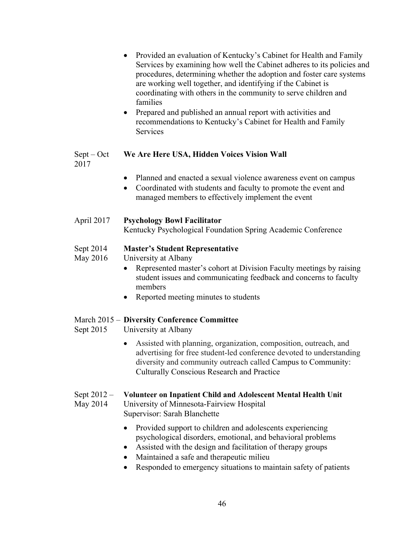|                           | Provided an evaluation of Kentucky's Cabinet for Health and Family<br>$\bullet$<br>Services by examining how well the Cabinet adheres to its policies and<br>procedures, determining whether the adoption and foster care systems<br>are working well together, and identifying if the Cabinet is<br>coordinating with others in the community to serve children and<br>families<br>Prepared and published an annual report with activities and<br>$\bullet$<br>recommendations to Kentucky's Cabinet for Health and Family<br>Services |
|---------------------------|-----------------------------------------------------------------------------------------------------------------------------------------------------------------------------------------------------------------------------------------------------------------------------------------------------------------------------------------------------------------------------------------------------------------------------------------------------------------------------------------------------------------------------------------|
| $Sept - Oct$<br>2017      | We Are Here USA, Hidden Voices Vision Wall                                                                                                                                                                                                                                                                                                                                                                                                                                                                                              |
|                           | Planned and enacted a sexual violence awareness event on campus<br>$\bullet$<br>Coordinated with students and faculty to promote the event and<br>$\bullet$<br>managed members to effectively implement the event                                                                                                                                                                                                                                                                                                                       |
| April 2017                | <b>Psychology Bowl Facilitator</b><br>Kentucky Psychological Foundation Spring Academic Conference                                                                                                                                                                                                                                                                                                                                                                                                                                      |
| Sept 2014<br>May 2016     | <b>Master's Student Representative</b><br>University at Albany<br>Represented master's cohort at Division Faculty meetings by raising<br>$\bullet$<br>student issues and communicating feedback and concerns to faculty<br>members<br>Reported meeting minutes to students<br>$\bullet$                                                                                                                                                                                                                                                 |
| Sept 2015                 | March 2015 – Diversity Conference Committee<br>University at Albany                                                                                                                                                                                                                                                                                                                                                                                                                                                                     |
|                           | Assisted with planning, organization, composition, outreach, and<br>$\bullet$<br>advertising for free student-led conference devoted to understanding<br>diversity and community outreach called Campus to Community:<br><b>Culturally Conscious Research and Practice</b>                                                                                                                                                                                                                                                              |
| Sept $2012 -$<br>May 2014 | Volunteer on Inpatient Child and Adolescent Mental Health Unit<br>University of Minnesota-Fairview Hospital<br>Supervisor: Sarah Blanchette                                                                                                                                                                                                                                                                                                                                                                                             |
|                           | Provided support to children and adolescents experiencing                                                                                                                                                                                                                                                                                                                                                                                                                                                                               |

- psychological disorders, emotional, and behavioral problems
- Assisted with the design and facilitation of therapy groups
- Maintained a safe and therapeutic milieu
- Responded to emergency situations to maintain safety of patients